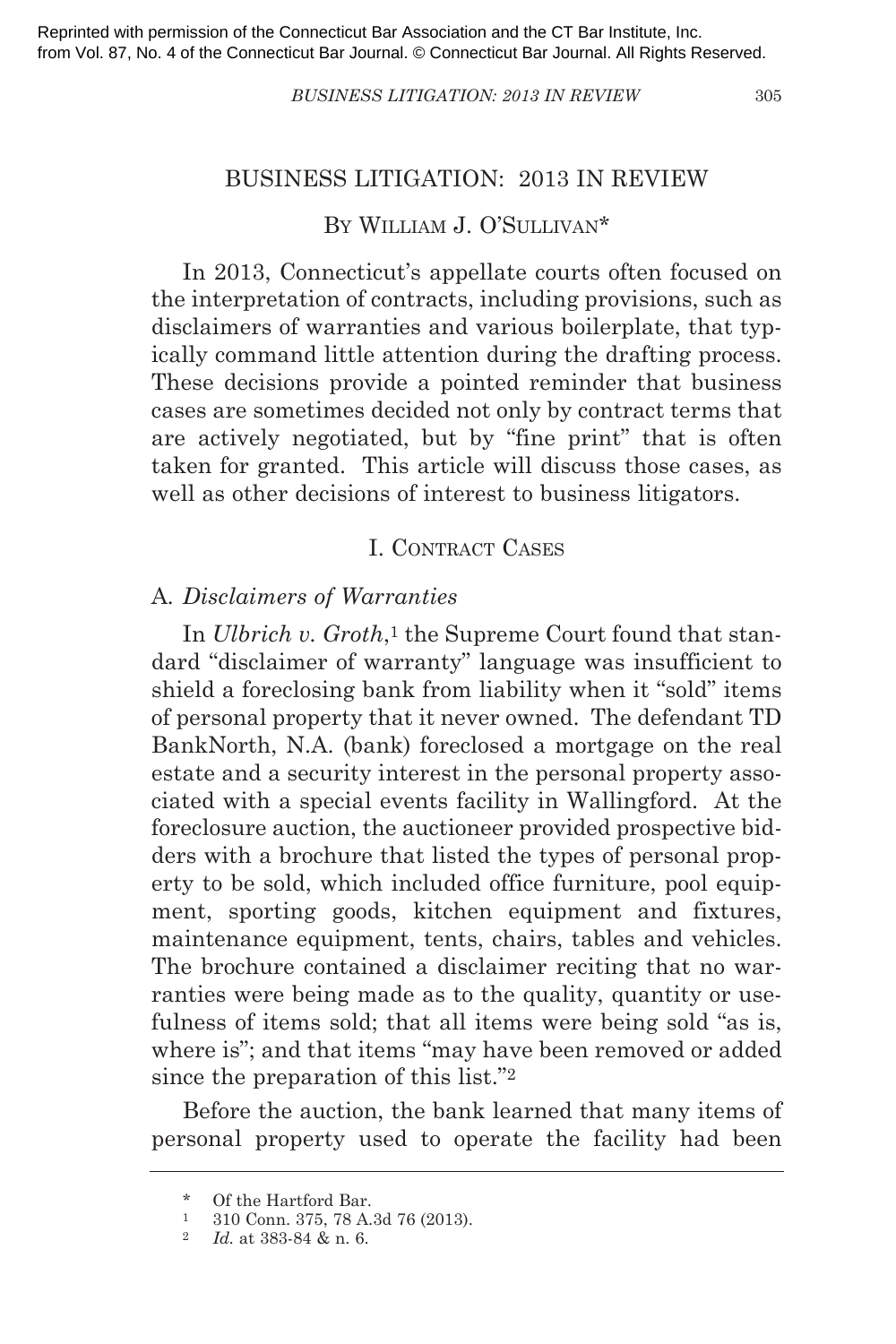#### *BUSINESS LITIGATION: 2013 IN REVIEW* 305

#### BUSINESS LITIGATION: 2013 IN REVIEW

# BY WILLIAM J. O'SULLIVAN\*

In 2013, Connecticut's appellate courts often focused on the interpretation of contracts, including provisions, such as disclaimers of warranties and various boilerplate, that typically command little attention during the drafting process. These decisions provide a pointed reminder that business cases are sometimes decided not only by contract terms that are actively negotiated, but by "fine print" that is often taken for granted. This article will discuss those cases, as well as other decisions of interest to business litigators.

# I. CONTRACT CASES

#### A*. Disclaimers of Warranties*

In *Ulbrich v. Groth*,<sup>1</sup> the Supreme Court found that standard "disclaimer of warranty" language was insufficient to shield a foreclosing bank from liability when it "sold" items of personal property that it never owned. The defendant TD BankNorth, N.A. (bank) foreclosed a mortgage on the real estate and a security interest in the personal property associated with a special events facility in Wallingford. At the foreclosure auction, the auctioneer provided prospective bidders with a brochure that listed the types of personal property to be sold, which included office furniture, pool equipment, sporting goods, kitchen equipment and fixtures, maintenance equipment, tents, chairs, tables and vehicles. The brochure contained a disclaimer reciting that no warranties were being made as to the quality, quantity or usefulness of items sold; that all items were being sold "as is, where is"; and that items "may have been removed or added since the preparation of this list."2

Before the auction, the bank learned that many items of personal property used to operate the facility had been

<sup>\*</sup> Of the Hartford Bar.

<sup>1</sup> 310 Conn. 375, 78 A.3d 76 (2013).

<sup>2</sup> *Id.* at 383-84 & n. 6.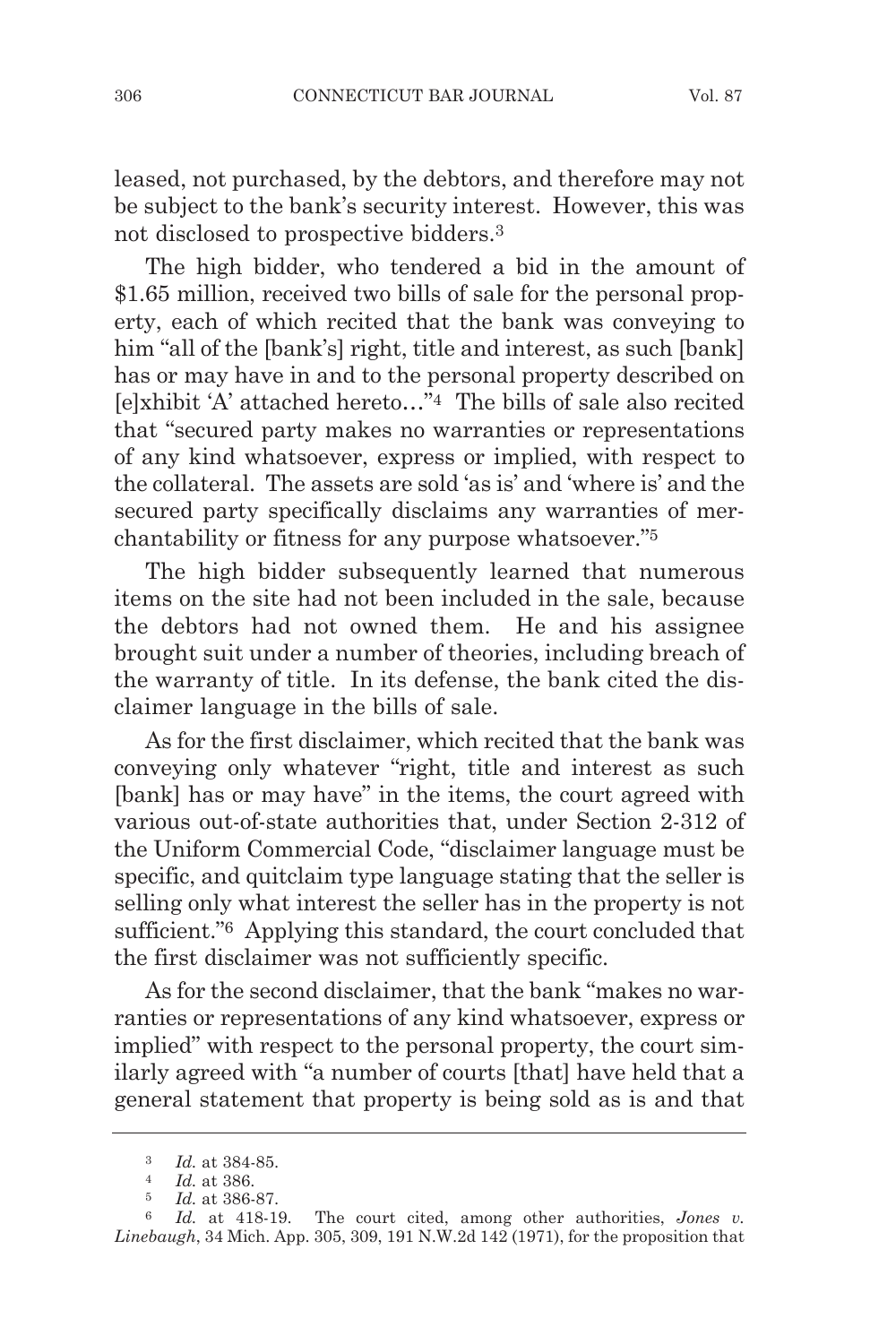leased, not purchased, by the debtors, and therefore may not be subject to the bank's security interest. However, this was not disclosed to prospective bidders.3

The high bidder, who tendered a bid in the amount of \$1.65 million, received two bills of sale for the personal property, each of which recited that the bank was conveying to him "all of the [bank's] right, title and interest, as such [bank] has or may have in and to the personal property described on [e]xhibit 'A' attached hereto…"4 The bills of sale also recited that "secured party makes no warranties or representations of any kind whatsoever, express or implied, with respect to the collateral. The assets are sold 'as is' and 'where is' and the secured party specifically disclaims any warranties of merchantability or fitness for any purpose whatsoever."5

The high bidder subsequently learned that numerous items on the site had not been included in the sale, because the debtors had not owned them. He and his assignee brought suit under a number of theories, including breach of the warranty of title. In its defense, the bank cited the disclaimer language in the bills of sale.

As for the first disclaimer, which recited that the bank was conveying only whatever "right, title and interest as such [bank] has or may have" in the items, the court agreed with various out-of-state authorities that, under Section 2-312 of the Uniform Commercial Code, "disclaimer language must be specific, and quitclaim type language stating that the seller is selling only what interest the seller has in the property is not sufficient."6 Applying this standard, the court concluded that the first disclaimer was not sufficiently specific.

As for the second disclaimer, that the bank "makes no warranties or representations of any kind whatsoever, express or implied" with respect to the personal property, the court similarly agreed with "a number of courts [that] have held that a general statement that property is being sold as is and that

<sup>3</sup> *Id.* at 384-85.

<sup>4</sup> *Id.* at 386.

<sup>5</sup> *Id.* at 386-87.

<sup>6</sup> *Id.* at 418-19. The court cited, among other authorities, *Jones v. Linebaugh*, 34 Mich. App. 305, 309, 191 N.W.2d 142 (1971), for the proposition that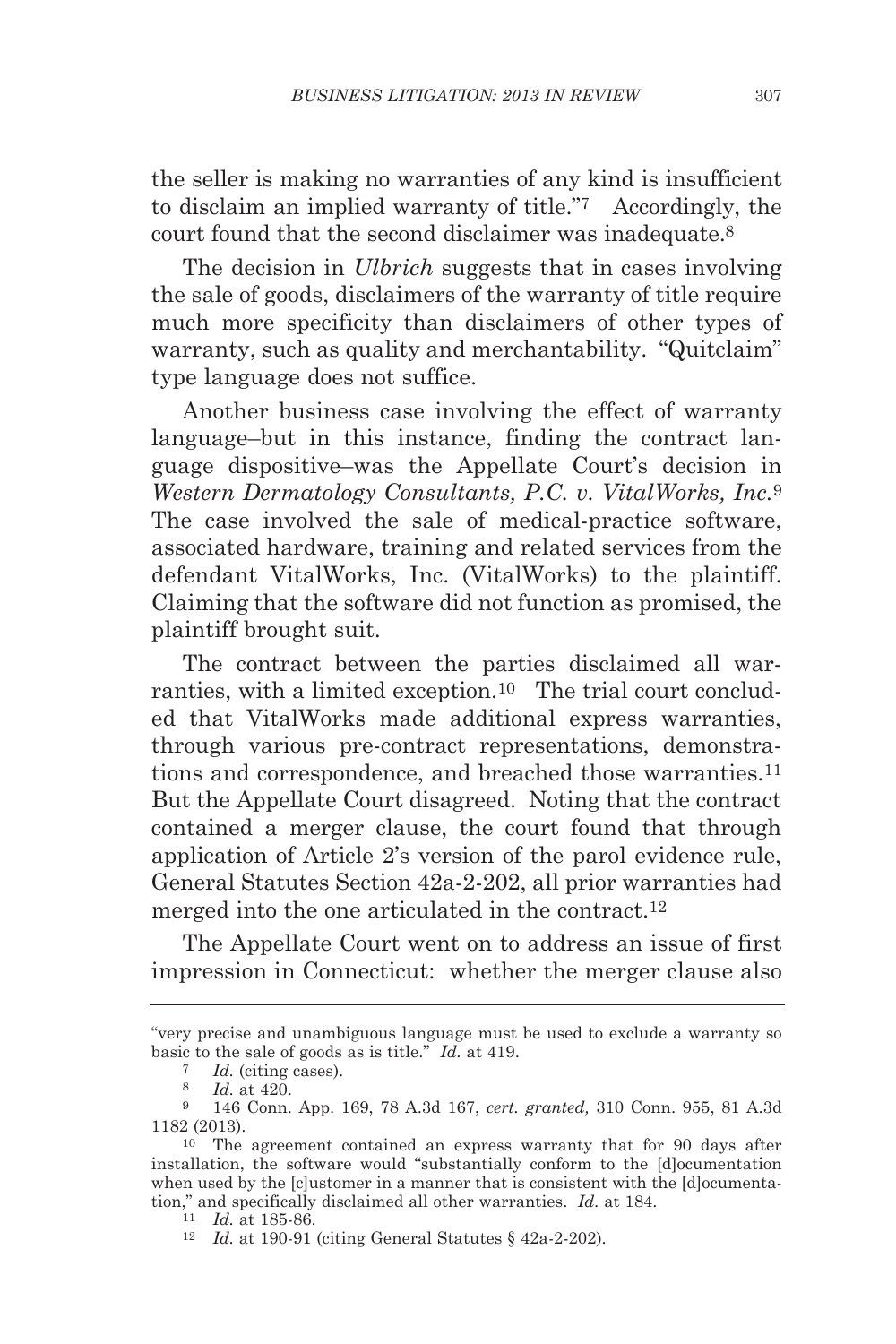the seller is making no warranties of any kind is insufficient to disclaim an implied warranty of title."7 Accordingly, the court found that the second disclaimer was inadequate.8

The decision in *Ulbrich* suggests that in cases involving the sale of goods, disclaimers of the warranty of title require much more specificity than disclaimers of other types of warranty, such as quality and merchantability. "Quitclaim" type language does not suffice.

Another business case involving the effect of warranty language–but in this instance, finding the contract language dispositive–was the Appellate Court's decision in *Western Dermatology Consultants, P.C. v. VitalWorks, Inc.*9 The case involved the sale of medical-practice software, associated hardware, training and related services from the defendant VitalWorks, Inc. (VitalWorks) to the plaintiff. Claiming that the software did not function as promised, the plaintiff brought suit.

The contract between the parties disclaimed all warranties, with a limited exception.10 The trial court concluded that VitalWorks made additional express warranties, through various pre-contract representations, demonstrations and correspondence, and breached those warranties.11 But the Appellate Court disagreed. Noting that the contract contained a merger clause, the court found that through application of Article 2's version of the parol evidence rule, General Statutes Section 42a-2-202, all prior warranties had merged into the one articulated in the contract.12

The Appellate Court went on to address an issue of first impression in Connecticut: whether the merger clause also

<sup>&</sup>quot;very precise and unambiguous language must be used to exclude a warranty so basic to the sale of goods as is title." *Id.* at 419. 7 *Id.* (citing cases).

<sup>8</sup> *Id.* at 420.

<sup>9</sup> 146 Conn. App. 169, 78 A.3d 167, *cert. granted,* 310 Conn. 955, 81 A.3d 1182 (2013).

<sup>10</sup> The agreement contained an express warranty that for 90 days after installation, the software would "substantially conform to the [d]ocumentation when used by the [c]ustomer in a manner that is consistent with the [d]ocumentation," and specifically disclaimed all other warranties. *Id.* at 184.

<sup>11</sup> *Id.* at 185-86.

<sup>12</sup> *Id.* at 190-91 (citing General Statutes § 42a-2-202).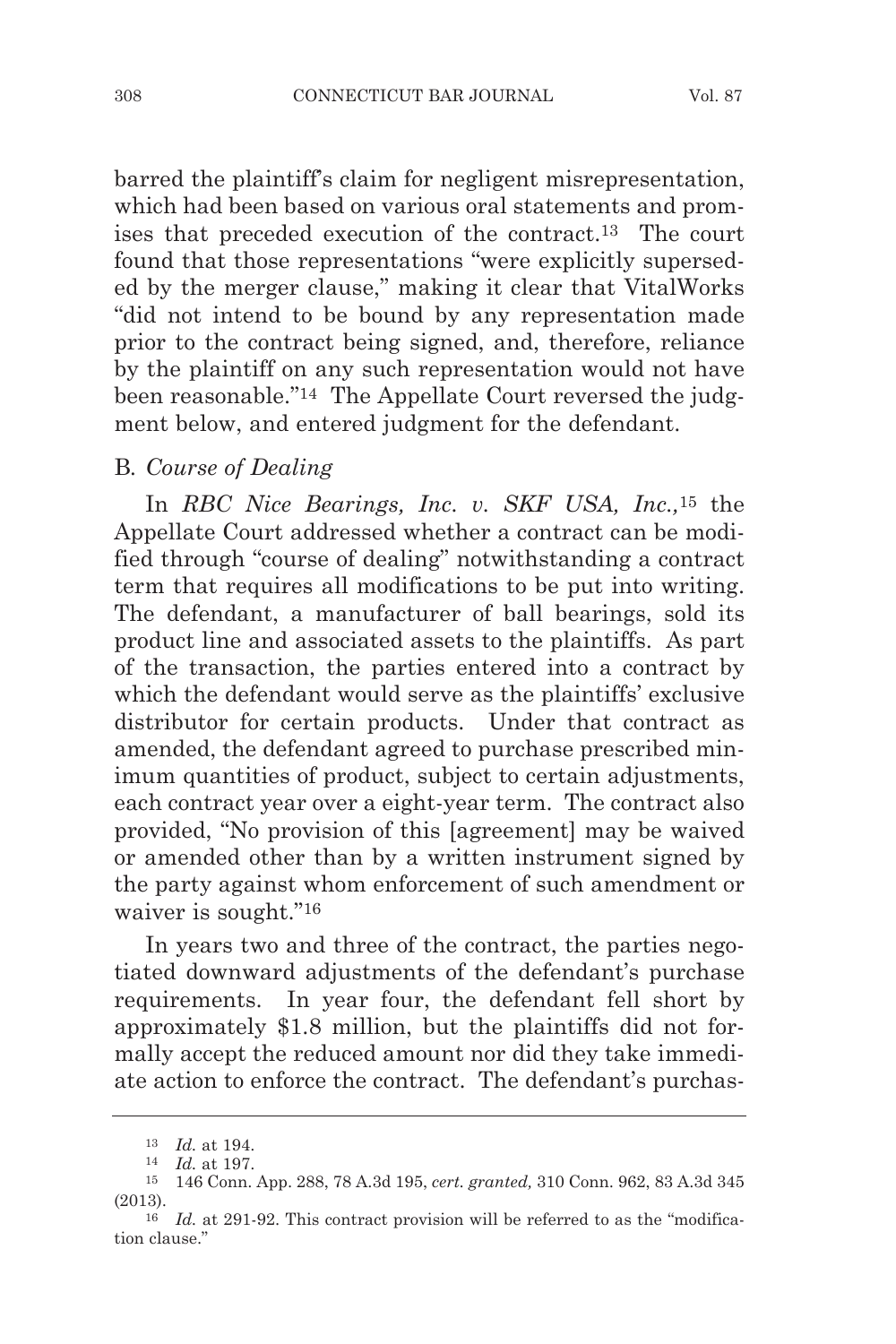barred the plaintiff's claim for negligent misrepresentation, which had been based on various oral statements and promises that preceded execution of the contract.13 The court found that those representations "were explicitly superseded by the merger clause," making it clear that VitalWorks "did not intend to be bound by any representation made prior to the contract being signed, and, therefore, reliance by the plaintiff on any such representation would not have been reasonable."14 The Appellate Court reversed the judgment below, and entered judgment for the defendant.

### B*. Course of Dealing*

In *RBC Nice Bearings, Inc. v. SKF USA, Inc.,*<sup>15</sup> the Appellate Court addressed whether a contract can be modified through "course of dealing" notwithstanding a contract term that requires all modifications to be put into writing. The defendant, a manufacturer of ball bearings, sold its product line and associated assets to the plaintiffs. As part of the transaction, the parties entered into a contract by which the defendant would serve as the plaintiffs' exclusive distributor for certain products. Under that contract as amended, the defendant agreed to purchase prescribed minimum quantities of product, subject to certain adjustments, each contract year over a eight-year term. The contract also provided, "No provision of this [agreement] may be waived or amended other than by a written instrument signed by the party against whom enforcement of such amendment or waiver is sought."16

In years two and three of the contract, the parties negotiated downward adjustments of the defendant's purchase requirements. In year four, the defendant fell short by approximately \$1.8 million, but the plaintiffs did not formally accept the reduced amount nor did they take immediate action to enforce the contract. The defendant's purchas-

<sup>13</sup> *Id.* at 194.

<sup>14</sup> *Id.* at 197.

<sup>15</sup> 146 Conn. App. 288, 78 A.3d 195, *cert. granted,* 310 Conn. 962, 83 A.3d 345 (2013).

<sup>16</sup> *Id.* at 291-92. This contract provision will be referred to as the "modification clause."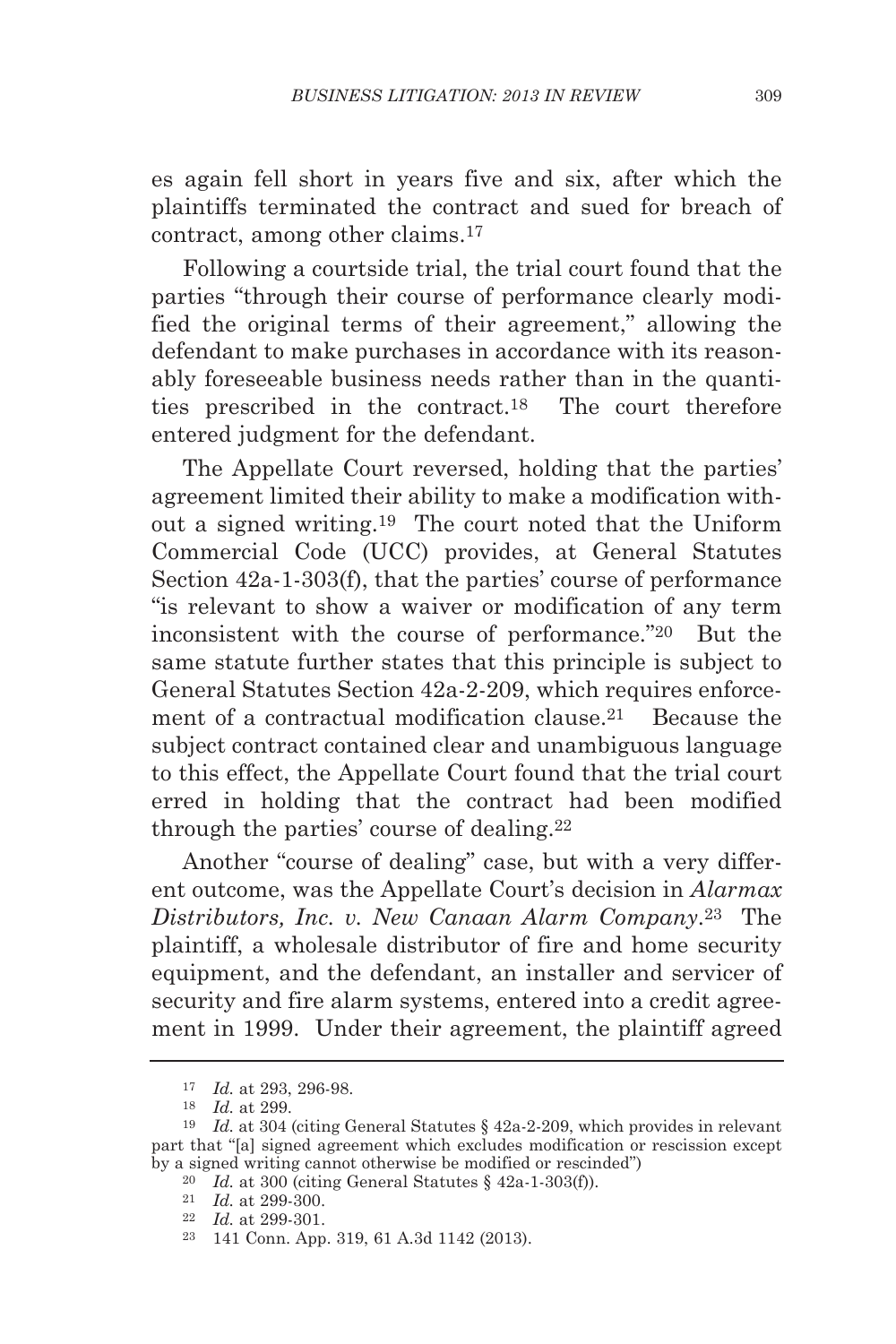es again fell short in years five and six, after which the plaintiffs terminated the contract and sued for breach of contract, among other claims.17

Following a courtside trial, the trial court found that the parties "through their course of performance clearly modified the original terms of their agreement," allowing the defendant to make purchases in accordance with its reasonably foreseeable business needs rather than in the quantities prescribed in the contract.18 The court therefore entered judgment for the defendant.

The Appellate Court reversed, holding that the parties' agreement limited their ability to make a modification without a signed writing.19 The court noted that the Uniform Commercial Code (UCC) provides, at General Statutes Section 42a-1-303(f), that the parties' course of performance "is relevant to show a waiver or modification of any term inconsistent with the course of performance."20 But the same statute further states that this principle is subject to General Statutes Section 42a-2-209, which requires enforcement of a contractual modification clause.<sup>21</sup> Because the subject contract contained clear and unambiguous language to this effect, the Appellate Court found that the trial court erred in holding that the contract had been modified through the parties' course of dealing.22

Another "course of dealing" case, but with a very different outcome, was the Appellate Court's decision in *Alarmax Distributors, Inc. v. New Canaan Alarm Company*.23 The plaintiff, a wholesale distributor of fire and home security equipment, and the defendant, an installer and servicer of security and fire alarm systems, entered into a credit agreement in 1999. Under their agreement, the plaintiff agreed

<sup>17</sup> *Id.* at 293, 296-98.

<sup>18</sup> *Id.* at 299.

<sup>19</sup> *Id.* at 304 (citing General Statutes § 42a-2-209, which provides in relevant part that "[a] signed agreement which excludes modification or rescission except by a signed writing cannot otherwise be modified or rescinded")

<sup>20</sup> *Id.* at 300 (citing General Statutes § 42a-1-303(f)).

<sup>21</sup> *Id.* at 299-300.

<sup>22</sup> *Id.* at 299-301.

<sup>23</sup> 141 Conn. App. 319, 61 A.3d 1142 (2013).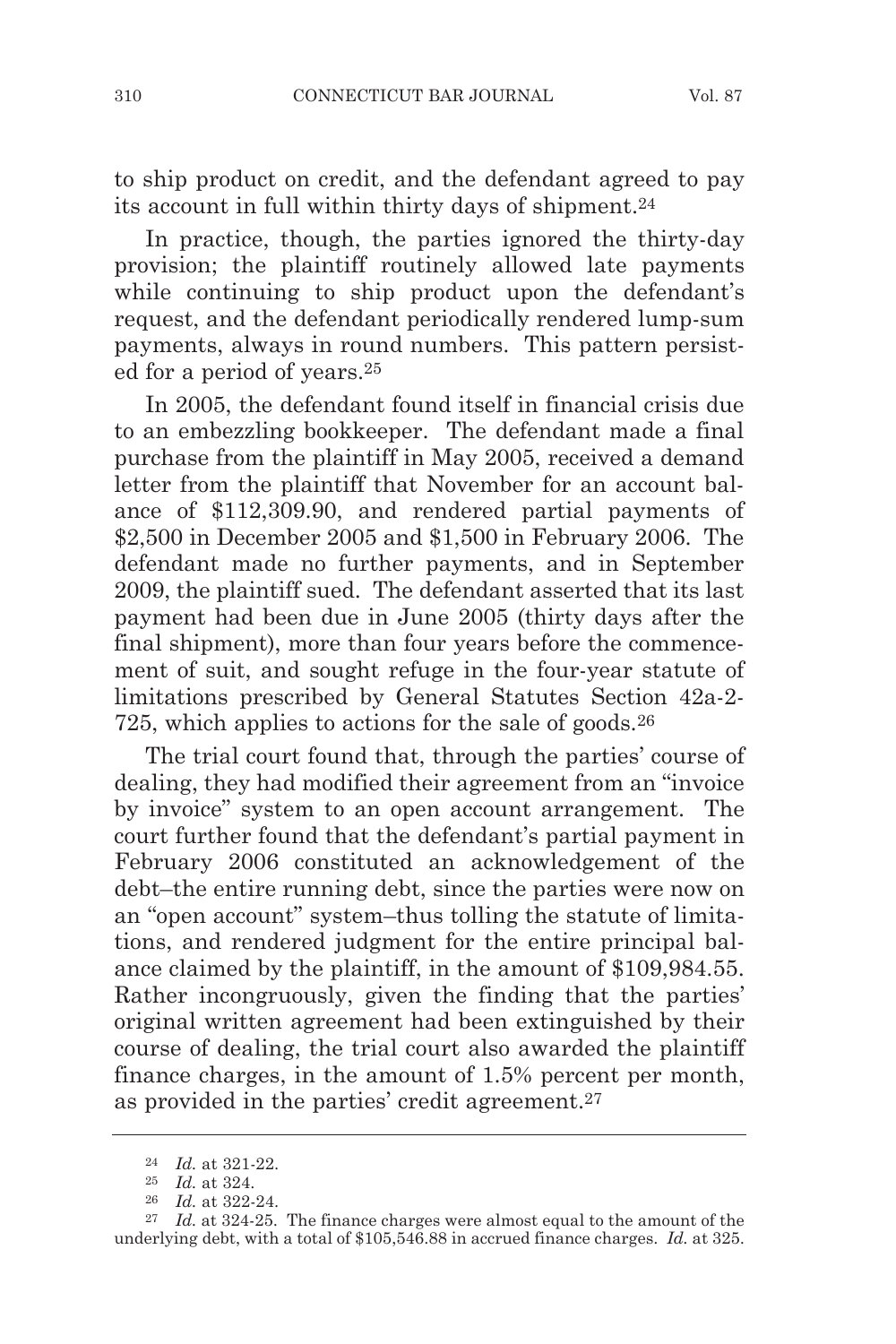to ship product on credit, and the defendant agreed to pay its account in full within thirty days of shipment.24

In practice, though, the parties ignored the thirty-day provision; the plaintiff routinely allowed late payments while continuing to ship product upon the defendant's request, and the defendant periodically rendered lump-sum payments, always in round numbers. This pattern persisted for a period of years.25

In 2005, the defendant found itself in financial crisis due to an embezzling bookkeeper. The defendant made a final purchase from the plaintiff in May 2005, received a demand letter from the plaintiff that November for an account balance of \$112,309.90, and rendered partial payments of \$2,500 in December 2005 and \$1,500 in February 2006. The defendant made no further payments, and in September 2009, the plaintiff sued. The defendant asserted that its last payment had been due in June 2005 (thirty days after the final shipment), more than four years before the commencement of suit, and sought refuge in the four-year statute of limitations prescribed by General Statutes Section 42a-2- 725, which applies to actions for the sale of goods.26

The trial court found that, through the parties' course of dealing, they had modified their agreement from an "invoice by invoice" system to an open account arrangement. The court further found that the defendant's partial payment in February 2006 constituted an acknowledgement of the debt–the entire running debt, since the parties were now on an "open account" system–thus tolling the statute of limitations, and rendered judgment for the entire principal balance claimed by the plaintiff, in the amount of \$109,984.55. Rather incongruously, given the finding that the parties' original written agreement had been extinguished by their course of dealing, the trial court also awarded the plaintiff finance charges, in the amount of 1.5% percent per month, as provided in the parties' credit agreement.27

<sup>24</sup> *Id.* at 321-22.

<sup>25</sup> *Id.* at 324.

<sup>26</sup> *Id.* at 322-24.

<sup>27</sup> *Id.* at 324-25. The finance charges were almost equal to the amount of the underlying debt, with a total of \$105,546.88 in accrued finance charges. *Id.* at 325.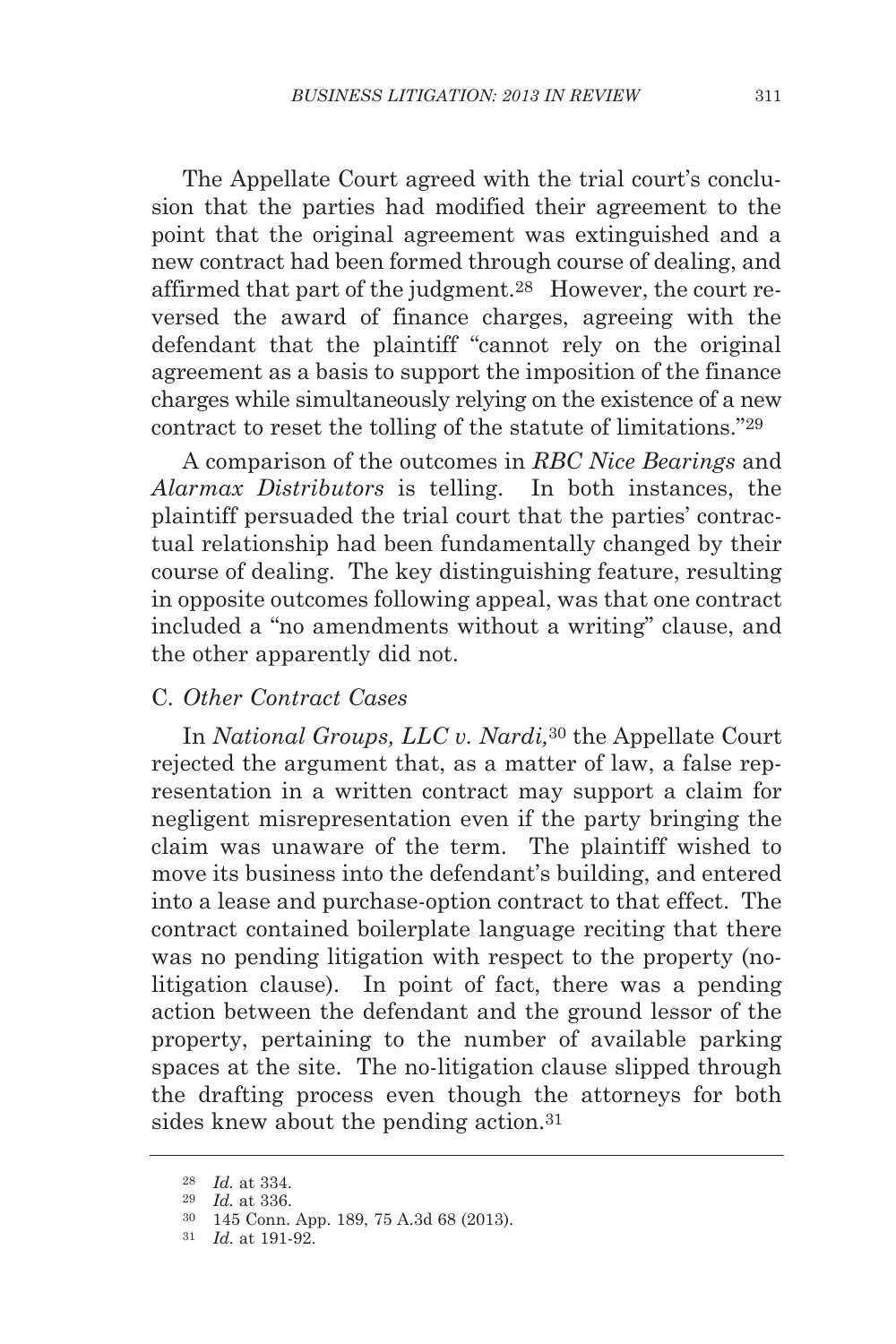The Appellate Court agreed with the trial court's conclusion that the parties had modified their agreement to the point that the original agreement was extinguished and a new contract had been formed through course of dealing, and affirmed that part of the judgment.28 However, the court re versed the award of finance charges, agreeing with the defendant that the plaintiff "cannot rely on the original agreement as a basis to support the imposition of the finance charges while simultaneously relying on the existence of a new contract to reset the tolling of the statute of limitations."29

A comparison of the outcomes in *RBC Nice Bearings* and *Alarmax Distributors* is telling. In both instances, the plaintiff persuaded the trial court that the parties' contractual relationship had been fundamentally changed by their course of dealing. The key distinguishing feature, resulting in opposite outcomes following appeal, was that one contract included a "no amendments without a writing" clause, and the other apparently did not.

# C*. Other Contract Cases*

In *National Groups, LLC v. Nardi,*<sup>30</sup> the Appellate Court rejected the argument that, as a matter of law, a false representation in a written contract may support a claim for negligent misrepresentation even if the party bringing the claim was unaware of the term. The plaintiff wished to move its business into the defendant's building, and entered into a lease and purchase-option contract to that effect. The contract contained boilerplate language reciting that there was no pending litigation with respect to the property (nolitigation clause). In point of fact, there was a pending action between the defendant and the ground lessor of the property, pertaining to the number of available parking spaces at the site. The no-litigation clause slipped through the drafting process even though the attorneys for both sides knew about the pending action.31

<sup>28</sup> *Id.* at 334.

<sup>29</sup> *Id.* at 336.

<sup>30</sup> 145 Conn. App. 189, 75 A.3d 68 (2013).

<sup>31</sup> *Id.* at 191-92.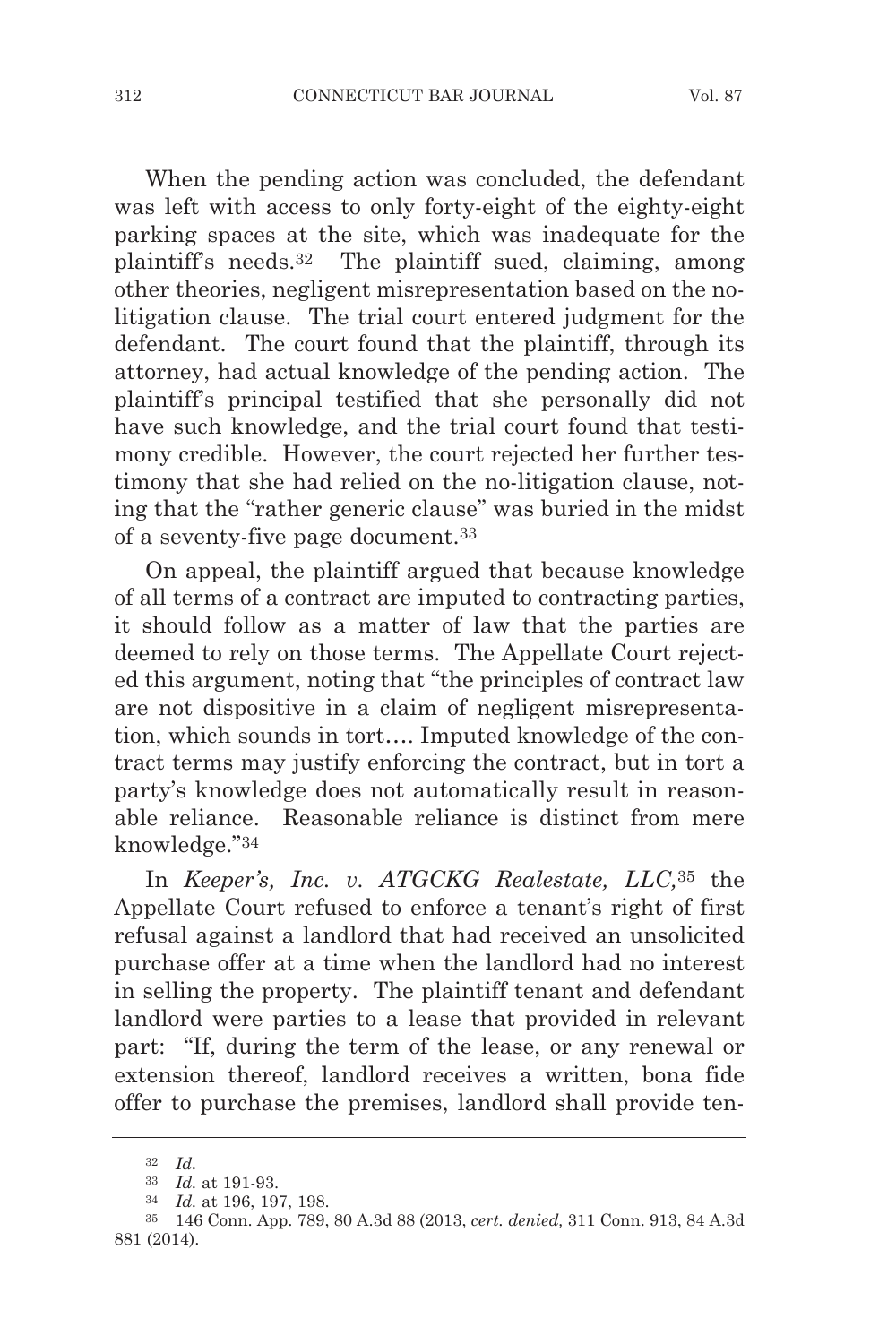When the pending action was concluded, the defendant was left with access to only forty-eight of the eighty-eight parking spaces at the site, which was inadequate for the plaintiff's needs.32 The plaintiff sued, claiming, among other theories, negligent misrepresentation based on the nolitigation clause. The trial court entered judgment for the defendant. The court found that the plaintiff, through its attorney, had actual knowledge of the pending action. The plaintiff's principal testified that she personally did not have such knowledge, and the trial court found that testimony credible. However, the court rejected her further testimony that she had relied on the no-litigation clause, noting that the "rather generic clause" was buried in the midst of a seventy-five page document.33

On appeal, the plaintiff argued that because knowledge of all terms of a contract are imputed to contracting parties, it should follow as a matter of law that the parties are deemed to rely on those terms. The Appellate Court rejected this argument, noting that "the principles of contract law are not dispositive in a claim of negligent misrepresentation, which sounds in tort…. Imputed knowledge of the contract terms may justify enforcing the contract, but in tort a party's knowledge does not automatically result in reasonable reliance. Reasonable reliance is distinct from mere knowledge."34

In *Keeper's, Inc. v. ATGCKG Realestate, LLC,*35 the Appellate Court refused to enforce a tenant's right of first refusal against a landlord that had received an unsolicited purchase offer at a time when the landlord had no interest in selling the property. The plaintiff tenant and defendant landlord were parties to a lease that provided in relevant part: "If, during the term of the lease, or any renewal or extension thereof, landlord receives a written, bona fide offer to purchase the premises, landlord shall provide ten-

<sup>32</sup> *Id.*

<sup>33</sup> *Id.* at 191-93.

<sup>34</sup> *Id.* at 196, 197, 198.

<sup>35</sup> 146 Conn. App. 789, 80 A.3d 88 (2013, *cert. denied,* 311 Conn. 913, 84 A.3d 881 (2014).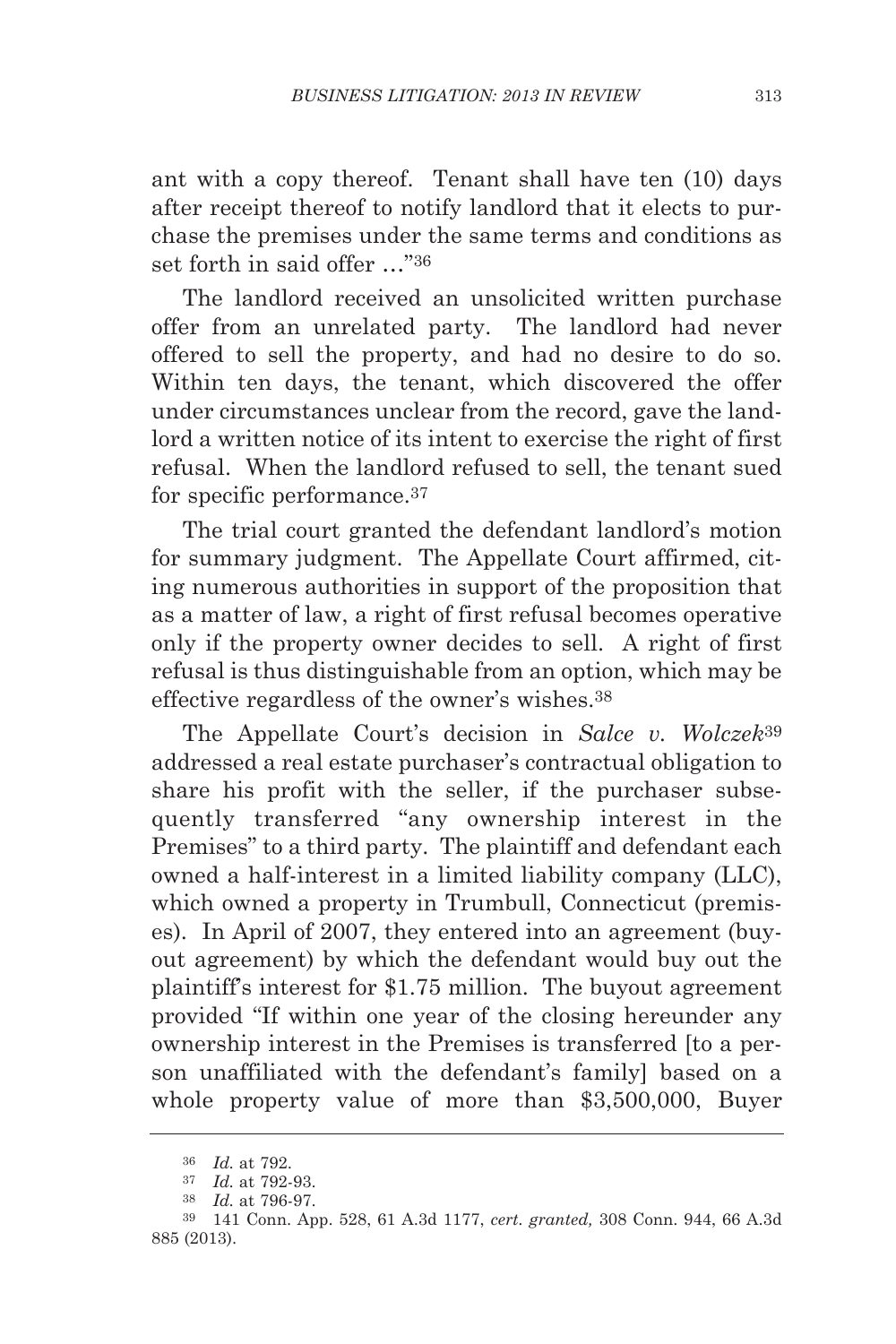ant with a copy thereof. Tenant shall have ten (10) days after receipt thereof to notify landlord that it elects to purchase the premises under the same terms and conditions as set forth in said offer …"36

The landlord received an unsolicited written purchase offer from an unrelated party. The landlord had never offered to sell the property, and had no desire to do so. Within ten days, the tenant, which discovered the offer under circumstances unclear from the record, gave the landlord a written notice of its intent to exercise the right of first refusal. When the landlord refused to sell, the tenant sued for specific performance.37

The trial court granted the defendant landlord's motion for summary judgment. The Appellate Court affirmed, citing numerous authorities in support of the proposition that as a matter of law, a right of first refusal becomes operative only if the property owner decides to sell. A right of first refusal is thus distinguishable from an option, which may be effective regardless of the owner's wishes.38

The Appellate Court's decision in *Salce v. Wolczek*39 addressed a real estate purchaser's contractual obligation to share his profit with the seller, if the purchaser subsequently transferred "any ownership interest in the Premises" to a third party. The plaintiff and defendant each owned a half-interest in a limited liability company (LLC), which owned a property in Trumbull, Connecticut (premises). In April of 2007, they entered into an agreement (buyout agreement) by which the defendant would buy out the plaintiff's interest for \$1.75 million. The buyout agreement provided "If within one year of the closing hereunder any ownership interest in the Premises is transferred [to a person unaffiliated with the defendant's family] based on a whole property value of more than \$3,500,000, Buyer

<sup>36</sup> *Id.* at 792.

<sup>37</sup> *Id.* at 792-93.

<sup>38</sup> *Id.* at 796-97.

<sup>39</sup> 141 Conn. App. 528, 61 A.3d 1177, *cert. granted,* 308 Conn. 944, 66 A.3d 885 (2013).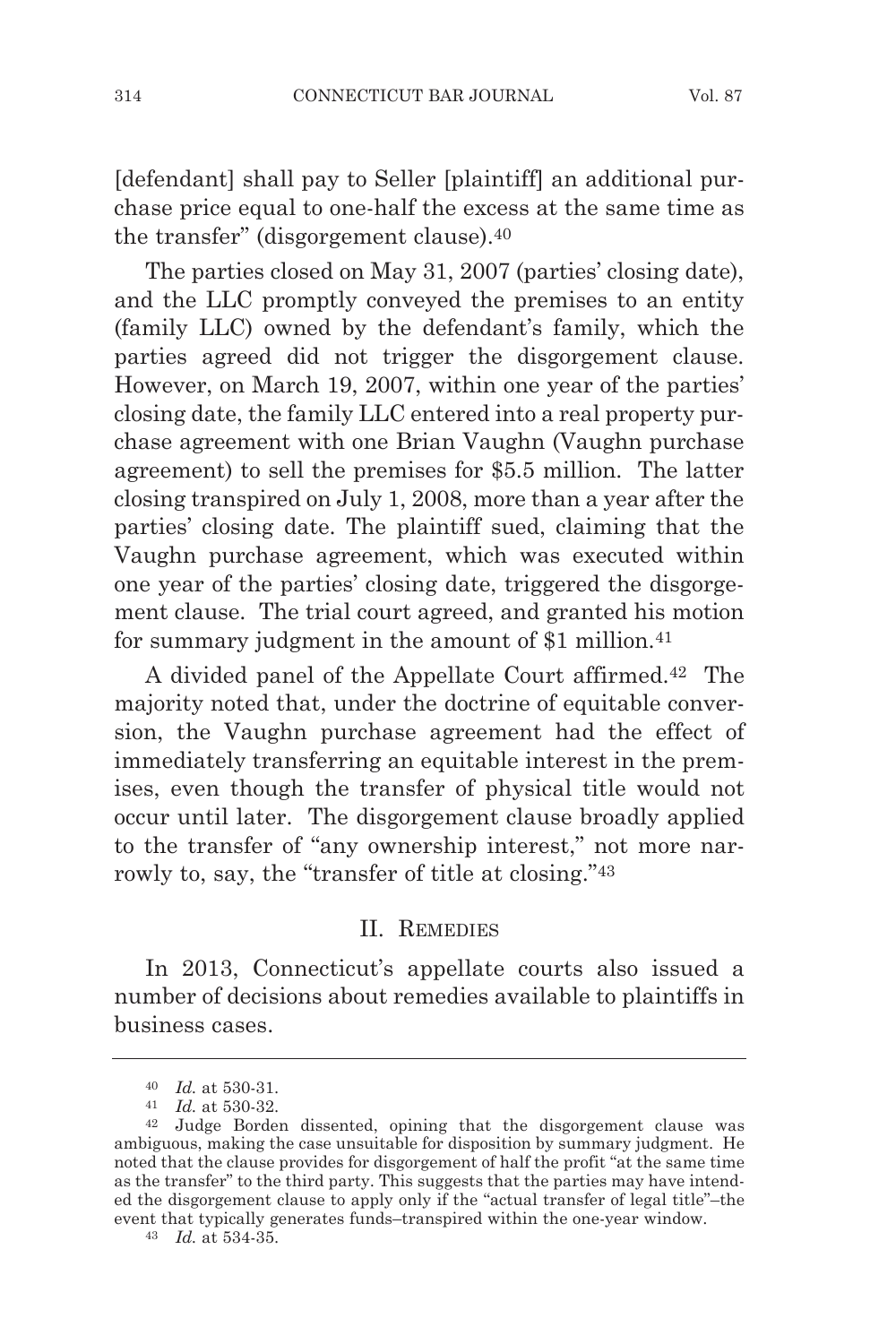[defendant] shall pay to Seller [plaintiff] an additional purchase price equal to one-half the excess at the same time as the transfer" (disgorgement clause).40

The parties closed on May 31, 2007 (parties' closing date), and the LLC promptly conveyed the premises to an entity (family LLC) owned by the defendant's family, which the parties agreed did not trigger the disgorgement clause. However, on March 19, 2007, within one year of the parties' closing date, the family LLC entered into a real property purchase agreement with one Brian Vaughn (Vaughn purchase agreement) to sell the premises for \$5.5 million. The latter closing transpired on July 1, 2008, more than a year after the parties' closing date. The plaintiff sued, claiming that the Vaughn purchase agreement, which was executed within one year of the parties' closing date, triggered the disgorgement clause. The trial court agreed, and granted his motion for summary judgment in the amount of \$1 million.<sup>41</sup>

A divided panel of the Appellate Court affirmed.42 The majority noted that, under the doctrine of equitable conversion, the Vaughn purchase agreement had the effect of immediately transferring an equitable interest in the premises, even though the transfer of physical title would not occur until later. The disgorgement clause broadly applied to the transfer of "any ownership interest," not more narrowly to, say, the "transfer of title at closing."43

#### II. REMEDIES

In 2013, Connecticut's appellate courts also issued a number of decisions about remedies available to plaintiffs in business cases.

<sup>40</sup> *Id.* at 530-31.

<sup>41</sup> *Id.* at 530-32.

<sup>42</sup> Judge Borden dissented, opining that the disgorgement clause was ambiguous, making the case unsuitable for disposition by summary judgment. He noted that the clause provides for disgorgement of half the profit "at the same time as the transfer" to the third party. This suggests that the parties may have intended the disgorgement clause to apply only if the "actual transfer of legal title"–the event that typically generates funds–transpired within the one-year window. 43 *Id.* at 534-35.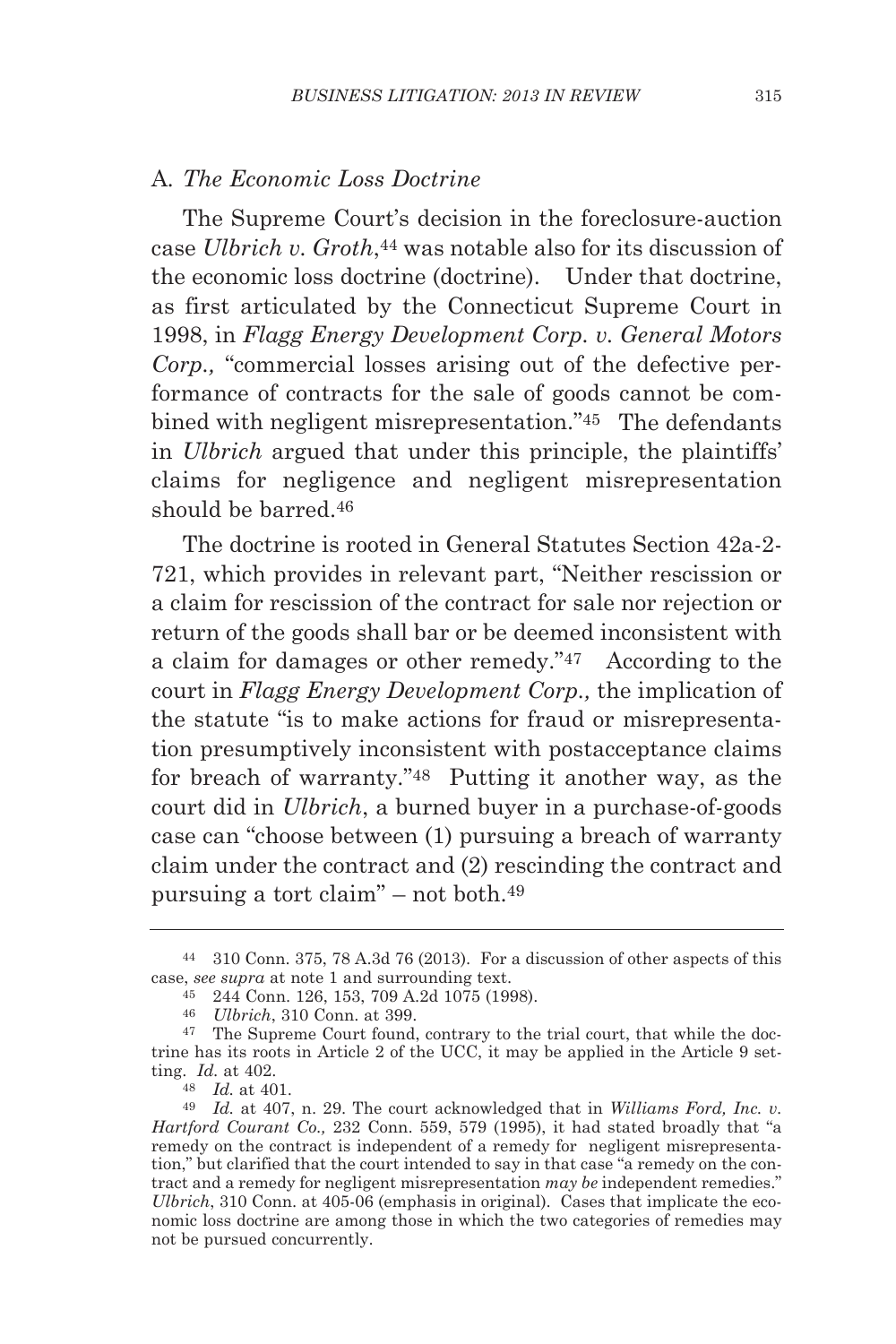## A*. The Economic Loss Doctrine*

The Supreme Court's decision in the foreclosure-auction case *Ulbrich v. Groth*,44 was notable also for its discussion of the economic loss doctrine (doctrine). Under that doctrine, as first articulated by the Connecticut Supreme Court in 1998, in *Flagg Energy Development Corp. v. General Motors Corp.,* "commercial losses arising out of the defective performance of contracts for the sale of goods cannot be combined with negligent misrepresentation."45 The defendants in *Ulbrich* argued that under this principle, the plaintiffs' claims for negligence and negligent misrepresentation should be barred.46

The doctrine is rooted in General Statutes Section 42a-2- 721, which provides in relevant part, "Neither rescission or a claim for rescission of the contract for sale nor rejection or return of the goods shall bar or be deemed inconsistent with a claim for damages or other remedy."47 According to the court in *Flagg Energy Development Corp.,* the implication of the statute "is to make actions for fraud or misrepresentation presumptively inconsistent with postacceptance claims for breach of warranty."48 Putting it another way, as the court did in *Ulbrich*, a burned buyer in a purchase-of-goods case can "choose between (1) pursuing a breach of warranty claim under the contract and (2) rescinding the contract and pursuing a tort claim" – not both.49

<sup>44</sup> 310 Conn. 375, 78 A.3d 76 (2013). For a discussion of other aspects of this case, *see supra* at note 1 and surrounding text.

<sup>45</sup> 244 Conn. 126, 153, 709 A.2d 1075 (1998).

<sup>46</sup> *Ulbrich*, 310 Conn. at 399.

<sup>47</sup> The Supreme Court found, contrary to the trial court, that while the doctrine has its roots in Article 2 of the UCC, it may be applied in the Article 9 setting. *Id.* at 402.

<sup>48</sup> *Id.* at 401.

<sup>49</sup> *Id.* at 407, n. 29. The court acknowledged that in *Williams Ford, Inc. v. Hartford Courant Co.,* 232 Conn. 559, 579 (1995), it had stated broadly that "a remedy on the contract is independent of a remedy for negligent misrepresentation," but clarified that the court intended to say in that case "a remedy on the contract and a remedy for negligent misrepresentation *may be* independent remedies." *Ulbrich*, 310 Conn. at 405-06 (emphasis in original). Cases that implicate the economic loss doctrine are among those in which the two categories of remedies may not be pursued concurrently.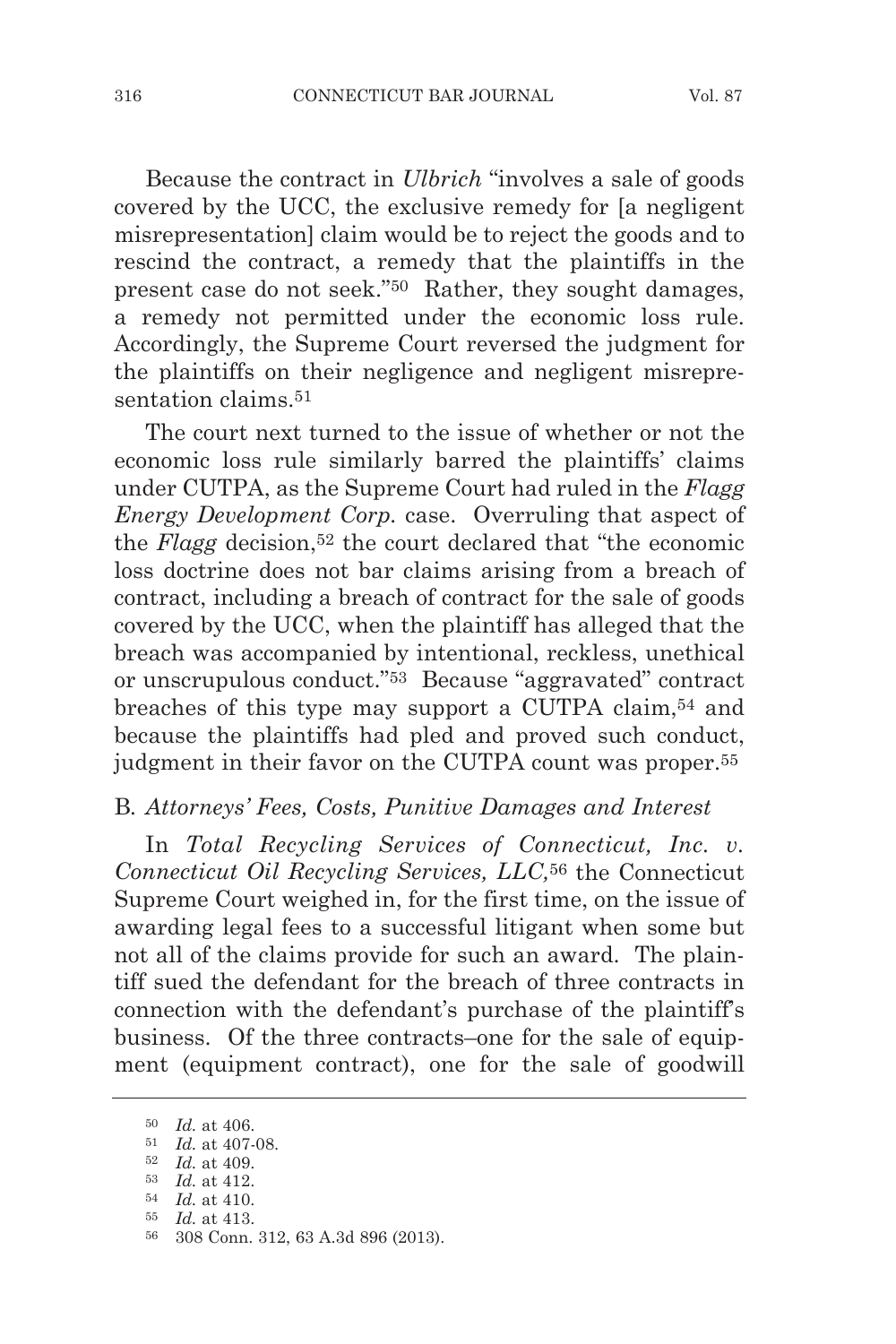Because the contract in *Ulbrich* "involves a sale of goods covered by the UCC, the exclusive remedy for [a negligent misrepresentation] claim would be to reject the goods and to rescind the contract, a remedy that the plaintiffs in the present case do not seek."50 Rather, they sought damages, a remedy not permitted under the economic loss rule. Accordingly, the Supreme Court reversed the judgment for the plaintiffs on their negligence and negligent misrepresentation claims<sup>51</sup>

The court next turned to the issue of whether or not the economic loss rule similarly barred the plaintiffs' claims under CUTPA, as the Supreme Court had ruled in the *Flagg Energy Development Corp.* case. Overruling that aspect of the *Flagg* decision,<sup>52</sup> the court declared that "the economic loss doctrine does not bar claims arising from a breach of contract, including a breach of contract for the sale of goods covered by the UCC, when the plaintiff has alleged that the breach was accompanied by intentional, reckless, unethical or unscrupulous conduct."53 Because "aggravated" contract breaches of this type may support a CUTPA claim,54 and because the plaintiffs had pled and proved such conduct, judgment in their favor on the CUTPA count was proper.<sup>55</sup>

#### B*. Attorneys' Fees, Costs, Punitive Damages and Interest*

In *Total Recycling Services of Connecticut, Inc. v. Connecticut Oil Recycling Services, LLC,*<sup>56</sup> the Connecticut Supreme Court weighed in, for the first time, on the issue of awarding legal fees to a successful litigant when some but not all of the claims provide for such an award. The plaintiff sued the defendant for the breach of three contracts in connection with the defendant's purchase of the plaintiff's business. Of the three contracts–one for the sale of equipment (equipment contract), one for the sale of goodwill

<sup>50</sup> *Id.* at 406.

<sup>51</sup> *Id.* at 407-08.

<sup>52</sup> *Id.* at 409.

<sup>53</sup> *Id.* at 412. 54 *Id.* at 410.

<sup>55</sup> *Id.* at 413.

<sup>56</sup> 308 Conn. 312, 63 A.3d 896 (2013).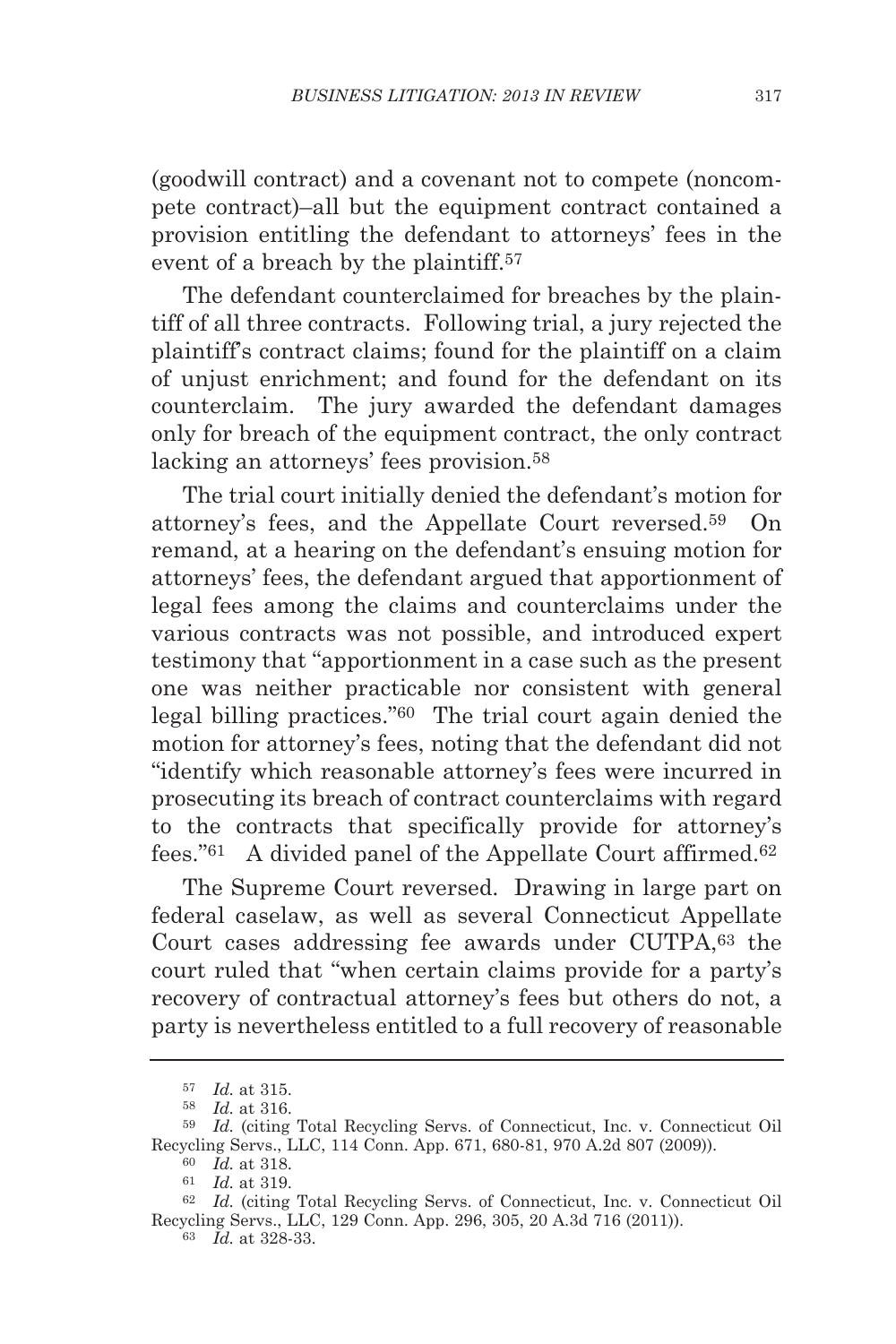(goodwill contract) and a covenant not to compete (noncompete contract)–all but the equipment contract contained a provision entitling the defendant to attorneys' fees in the event of a breach by the plaintiff.57

The defendant counterclaimed for breaches by the plaintiff of all three contracts. Following trial, a jury rejected the plaintiff's contract claims; found for the plaintiff on a claim of unjust enrichment; and found for the defendant on its counterclaim. The jury awarded the defendant damages only for breach of the equipment contract, the only contract lacking an attorneys' fees provision.58

The trial court initially denied the defendant's motion for attorney's fees, and the Appellate Court reversed.59 On remand, at a hearing on the defendant's ensuing motion for attorneys' fees, the defendant argued that apportionment of legal fees among the claims and counterclaims under the various contracts was not possible, and introduced expert testimony that "apportionment in a case such as the present one was neither practicable nor consistent with general legal billing practices."60 The trial court again denied the motion for attorney's fees, noting that the defendant did not "identify which reasonable attorney's fees were incurred in prosecuting its breach of contract counterclaims with regard to the contracts that specifically provide for attorney's fees."61 A divided panel of the Appellate Court affirmed.62

The Supreme Court reversed. Drawing in large part on federal caselaw, as well as several Connecticut Appellate Court cases addressing fee awards under CUTPA,63 the court ruled that "when certain claims provide for a party's recovery of contractual attorney's fees but others do not, a party is nevertheless entitled to a full recovery of reasonable

<sup>57</sup> *Id.* at 315.

<sup>58</sup> *Id.* at 316.

<sup>59</sup> *Id.* (citing Total Recycling Servs. of Connecticut, Inc. v. Connecticut Oil Recycling Servs., LLC, 114 Conn. App. 671, 680-81, 970 A.2d 807 (2009)). 60 *Id.* at 318.

<sup>61</sup> *Id.* at 319.

<sup>62</sup> *Id.* (citing Total Recycling Servs. of Connecticut, Inc. v. Connecticut Oil Recycling Servs., LLC, 129 Conn. App. 296, 305, 20 A.3d 716 (2011)).

<sup>63</sup> *Id.* at 328-33.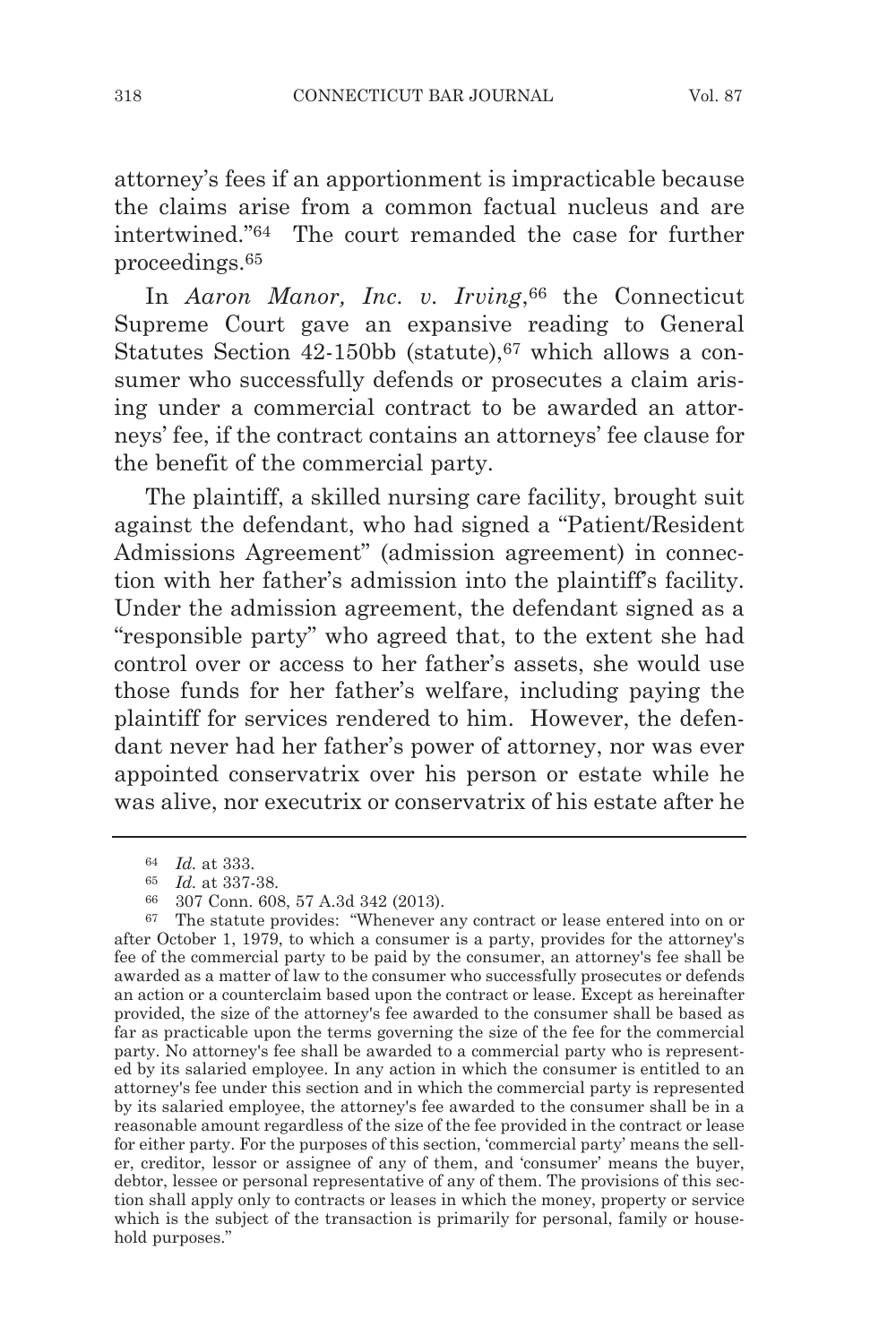attorney's fees if an apportionment is impracticable because the claims arise from a common factual nucleus and are intertwined."64 The court remanded the case for further proceedings.65

In *Aaron Manor, Inc. v. Irving*, 66 the Connecticut Supreme Court gave an expansive reading to General Statutes Section 42-150bb (statute),67 which allows a consumer who successfully defends or prosecutes a claim arising under a commercial contract to be awarded an attorneys' fee, if the contract contains an attorneys' fee clause for the benefit of the commercial party.

The plaintiff, a skilled nursing care facility, brought suit against the defendant, who had signed a "Patient/Resident Admissions Agreement" (admission agreement) in connection with her father's admission into the plaintiff's facility. Under the admission agreement, the defendant signed as a "responsible party" who agreed that, to the extent she had control over or access to her father's assets, she would use those funds for her father's welfare, including paying the plaintiff for services rendered to him. However, the defendant never had her father's power of attorney, nor was ever appointed conservatrix over his person or estate while he was alive, nor executrix or conservatrix of his estate after he

<sup>64</sup> *Id.* at 333.

 $\frac{65}{66}$  *Id.* at 337-38.<br> $\frac{66}{66}$  307 Conn 60

<sup>66</sup> 307 Conn. 608, 57 A.3d 342 (2013).

<sup>67</sup> The statute provides: "Whenever any contract or lease entered into on or after October 1, 1979, to which a consumer is a party, provides for the attorney's fee of the commercial party to be paid by the consumer, an attorney's fee shall be awarded as a matter of law to the consumer who successfully prosecutes or defends an action or a counterclaim based upon the contract or lease. Except as hereinafter provided, the size of the attorney's fee awarded to the consumer shall be based as far as practicable upon the terms governing the size of the fee for the commercial party. No attorney's fee shall be awarded to a commercial party who is represented by its salaried employee. In any action in which the consumer is entitled to an attorney's fee under this section and in which the commercial party is represented by its salaried employee, the attorney's fee awarded to the consumer shall be in a reasonable amount regardless of the size of the fee provided in the contract or lease for either party. For the purposes of this section, 'commercial party' means the seller, creditor, lessor or assignee of any of them, and 'consumer' means the buyer, debtor, lessee or personal representative of any of them. The provisions of this section shall apply only to contracts or leases in which the money, property or service which is the subject of the transaction is primarily for personal, family or household purposes."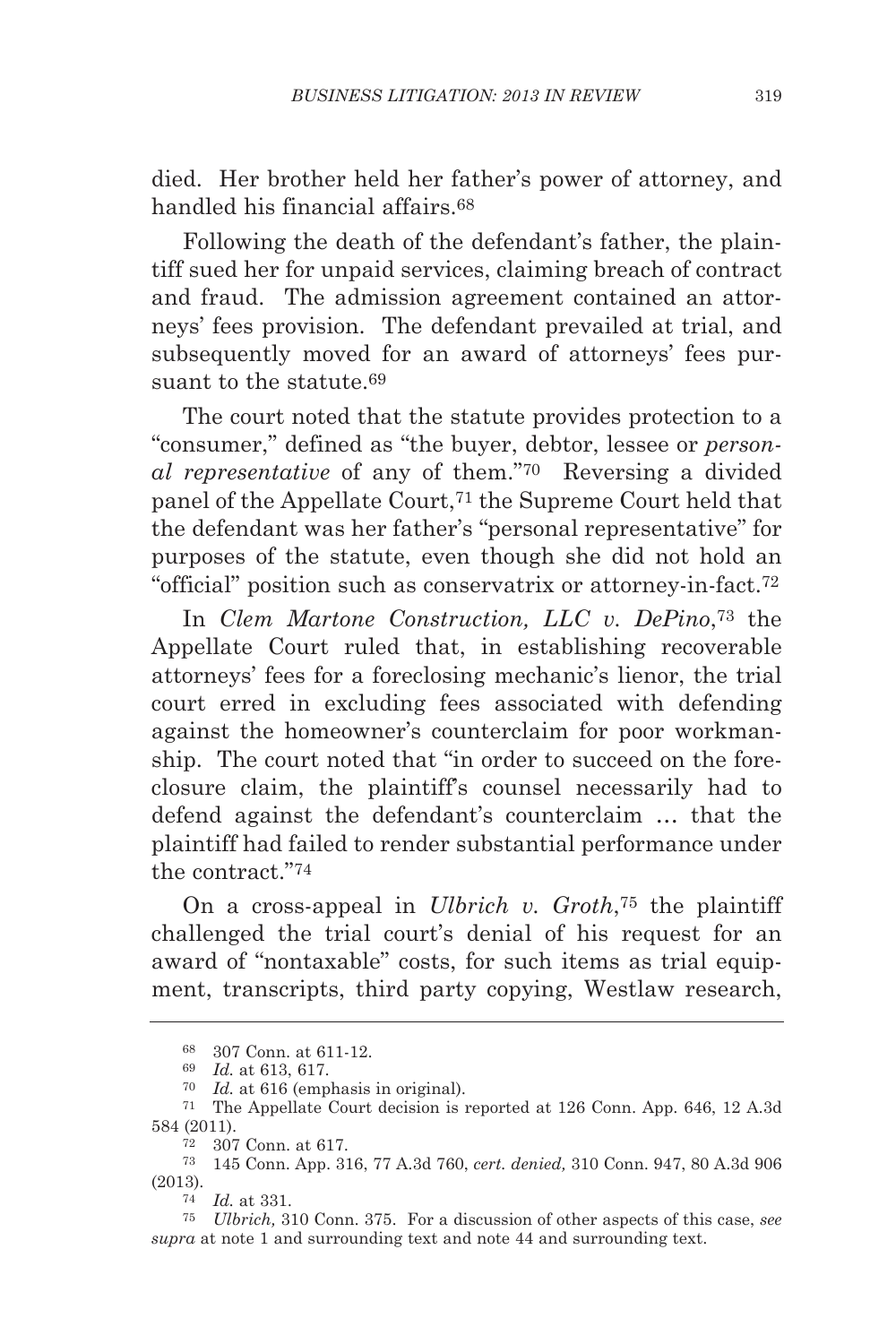died. Her brother held her father's power of attorney, and handled his financial affairs.68

Following the death of the defendant's father, the plaintiff sued her for unpaid services, claiming breach of contract and fraud. The admission agreement contained an attorneys' fees provision. The defendant prevailed at trial, and subsequently moved for an award of attorneys' fees pursuant to the statute  $69$ 

The court noted that the statute provides protection to a "consumer," defined as "the buyer, debtor, lessee or *personal representative* of any of them."70 Reversing a divided panel of the Appellate Court,<sup>71</sup> the Supreme Court held that the defendant was her father's "personal representative" for purposes of the statute, even though she did not hold an "official" position such as conservatrix or attorney-in-fact.72

In *Clem Martone Construction, LLC v. DePino*,73 the Appellate Court ruled that, in establishing recoverable attorneys' fees for a foreclosing mechanic's lienor, the trial court erred in excluding fees associated with defending against the homeowner's counterclaim for poor workmanship. The court noted that "in order to succeed on the foreclosure claim, the plaintiff's counsel necessarily had to defend against the defendant's counterclaim … that the plaintiff had failed to render substantial performance under the contract."74

On a cross-appeal in *Ulbrich v. Groth*,75 the plaintiff challenged the trial court's denial of his request for an award of "nontaxable" costs, for such items as trial equipment, transcripts, third party copying, Westlaw research,

<sup>68</sup> 307 Conn. at 611-12. 69 *Id.* at 613, 617.

<sup>70</sup> *Id.* at 616 (emphasis in original).

<sup>71</sup> The Appellate Court decision is reported at 126 Conn. App. 646, 12 A.3d 584 (2011).

<sup>72</sup> 307 Conn. at 617.

<sup>73</sup> 145 Conn. App. 316, 77 A.3d 760, *cert. denied,* 310 Conn. 947, 80 A.3d 906 (2013).

<sup>74</sup> *Id.* at 331.

<sup>75</sup> *Ulbrich,* 310 Conn. 375. For a discussion of other aspects of this case, *see supra* at note 1 and surrounding text and note 44 and surrounding text.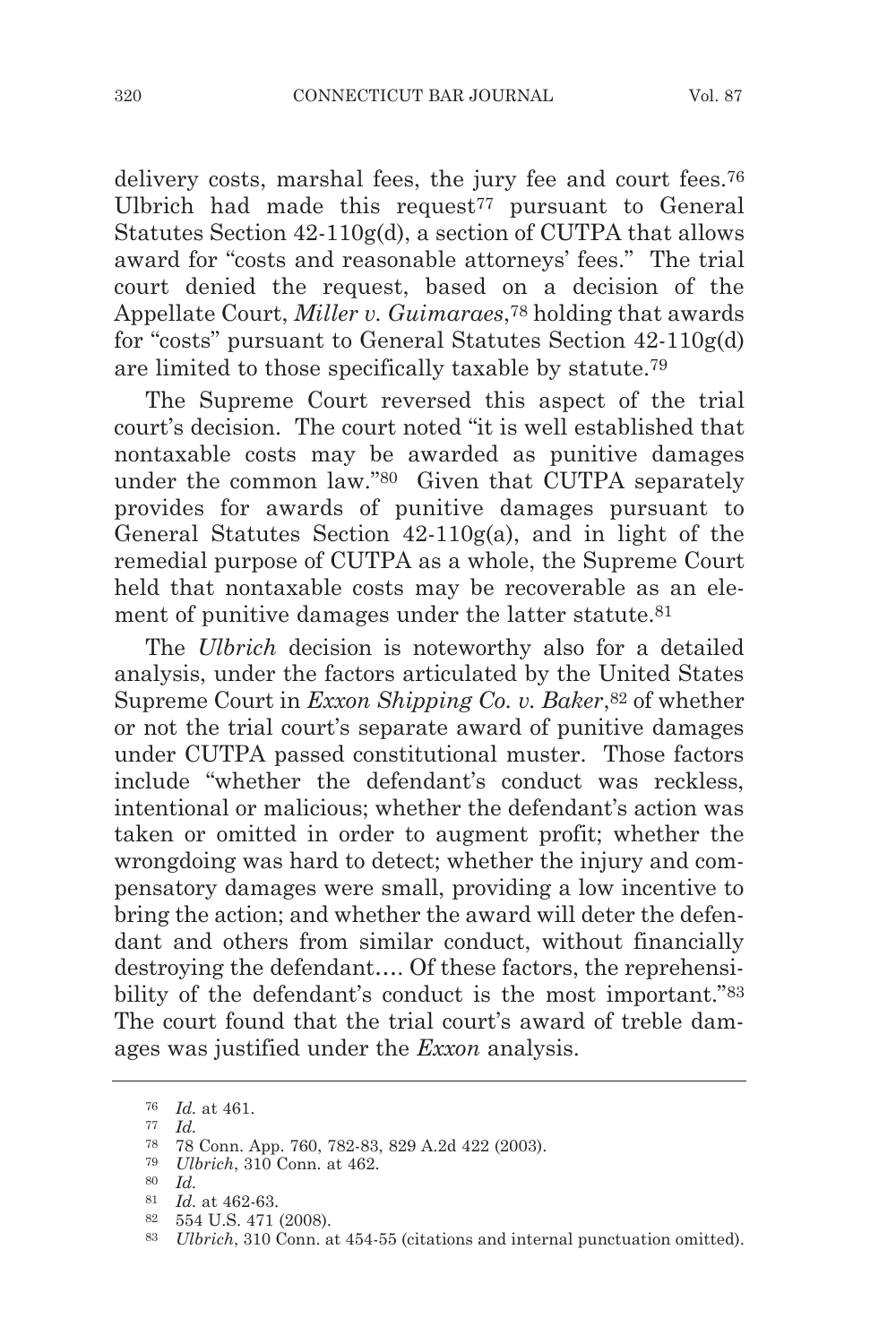delivery costs, marshal fees, the jury fee and court fees.76 Ulbrich had made this request<sup> $77$ </sup> pursuant to General Statutes Section 42-110g(d), a section of CUTPA that allows award for "costs and reasonable attorneys' fees." The trial court denied the request, based on a decision of the Appellate Court, *Miller v. Guimaraes*,78 holding that awards for "costs" pursuant to General Statutes Section 42-110g(d) are limited to those specifically taxable by statute.79

The Supreme Court reversed this aspect of the trial court's decision. The court noted "it is well established that nontaxable costs may be awarded as punitive damages under the common law."80 Given that CUTPA separately provides for awards of punitive damages pursuant to General Statutes Section 42-110g(a), and in light of the remedial purpose of CUTPA as a whole, the Supreme Court held that nontaxable costs may be recoverable as an element of punitive damages under the latter statute.<sup>81</sup>

The *Ulbrich* decision is noteworthy also for a detailed analysis, under the factors articulated by the United States Supreme Court in *Exxon Shipping Co. v. Baker*,82 of whether or not the trial court's separate award of punitive damages under CUTPA passed constitutional muster. Those factors include "whether the defendant's conduct was reckless, intentional or malicious; whether the defendant's action was taken or omitted in order to augment profit; whether the wrongdoing was hard to detect; whether the injury and compensatory damages were small, providing a low incentive to bring the action; and whether the award will deter the defendant and others from similar conduct, without financially destroying the defendant…. Of these factors, the reprehensibility of the defendant's conduct is the most important."<sup>83</sup> The court found that the trial court's award of treble damages was justified under the *Exxon* analysis.

<sup>76</sup> *Id.* at 461.

<sup>77</sup> *Id.*

<sup>78</sup> 78 Conn. App. 760, 782-83, 829 A.2d 422 (2003).

<sup>79</sup> *Ulbrich*, 310 Conn. at 462.

<sup>80</sup> *Id.*

<sup>81</sup> *Id.* at 462-63. 82 554 U.S. 471 (2008).

<sup>83</sup> *Ulbrich*, 310 Conn. at 454-55 (citations and internal punctuation omitted).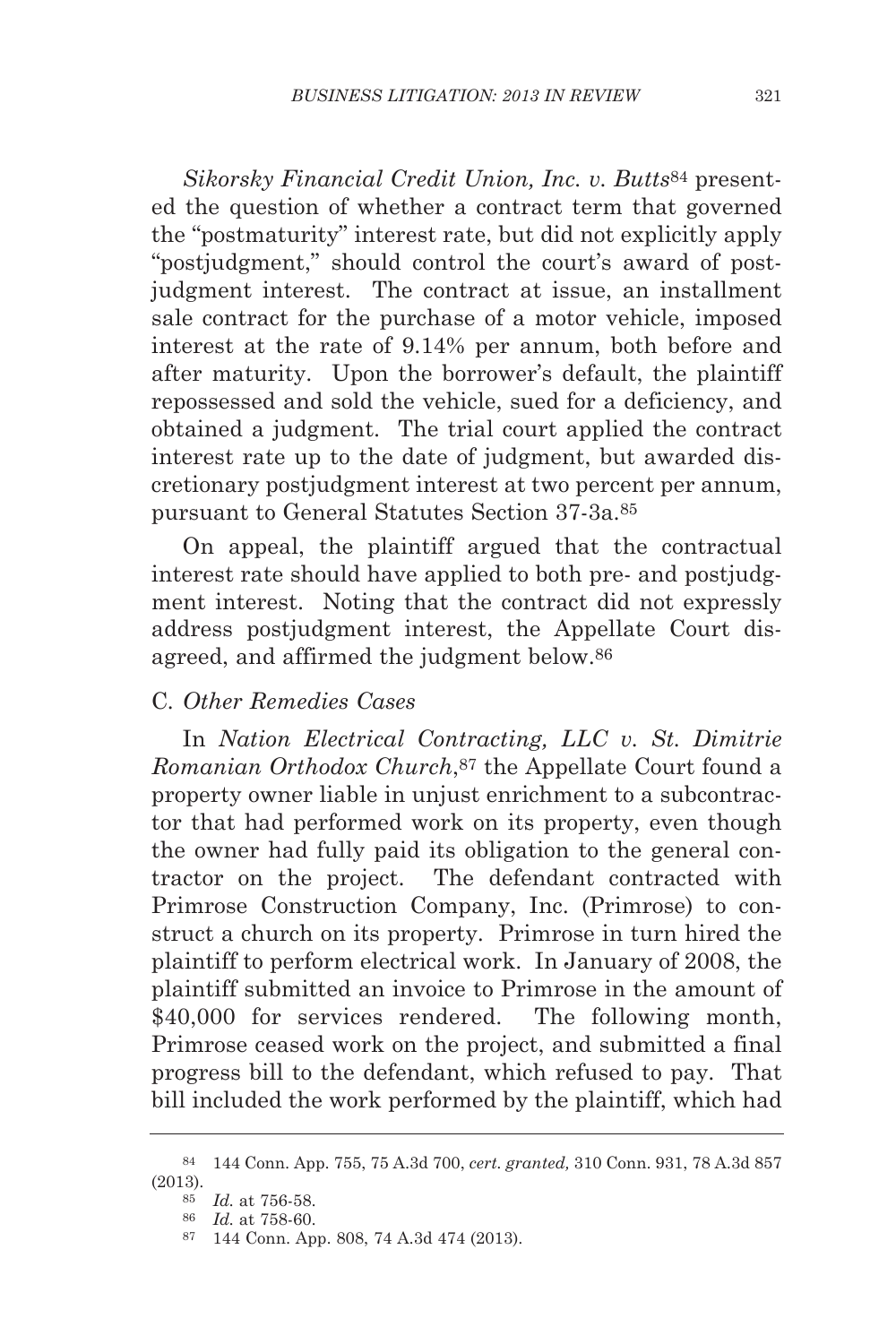*Sikorsky Financial Credit Union, Inc. v. Butts*<sup>84</sup> presented the question of whether a contract term that governed the "postmaturity" interest rate, but did not explicitly apply "postjudgment," should control the court's award of postjudgment interest. The contract at issue, an installment sale contract for the purchase of a motor vehicle, imposed interest at the rate of 9.14% per annum, both before and after maturity. Upon the borrower's default, the plaintiff repossessed and sold the vehicle, sued for a deficiency, and obtained a judgment. The trial court applied the contract interest rate up to the date of judgment, but awarded discretionary postjudgment interest at two percent per annum, pursuant to General Statutes Section 37-3a.85

On appeal, the plaintiff argued that the contractual interest rate should have applied to both pre- and postjudgment interest. Noting that the contract did not expressly address postjudgment interest, the Appellate Court disagreed, and affirmed the judgment below.86

# C*. Other Remedies Cases*

In *Nation Electrical Contracting, LLC v. St. Dimitrie Romanian Orthodox Church*,87 the Appellate Court found a property owner liable in unjust enrichment to a subcontractor that had performed work on its property, even though the owner had fully paid its obligation to the general contractor on the project. The defendant contracted with Primrose Construction Company, Inc. (Primrose) to construct a church on its property. Primrose in turn hired the plaintiff to perform electrical work. In January of 2008, the plaintiff submitted an invoice to Primrose in the amount of \$40,000 for services rendered. The following month, Primrose ceased work on the project, and submitted a final progress bill to the defendant, which refused to pay. That bill included the work performed by the plaintiff, which had

<sup>84</sup> 144 Conn. App. 755, 75 A.3d 700, *cert. granted,* 310 Conn. 931, 78 A.3d 857 (2013).

<sup>85</sup> *Id.* at 756-58.

<sup>86</sup> *Id.* at 758-60.

<sup>87</sup> 144 Conn. App. 808, 74 A.3d 474 (2013).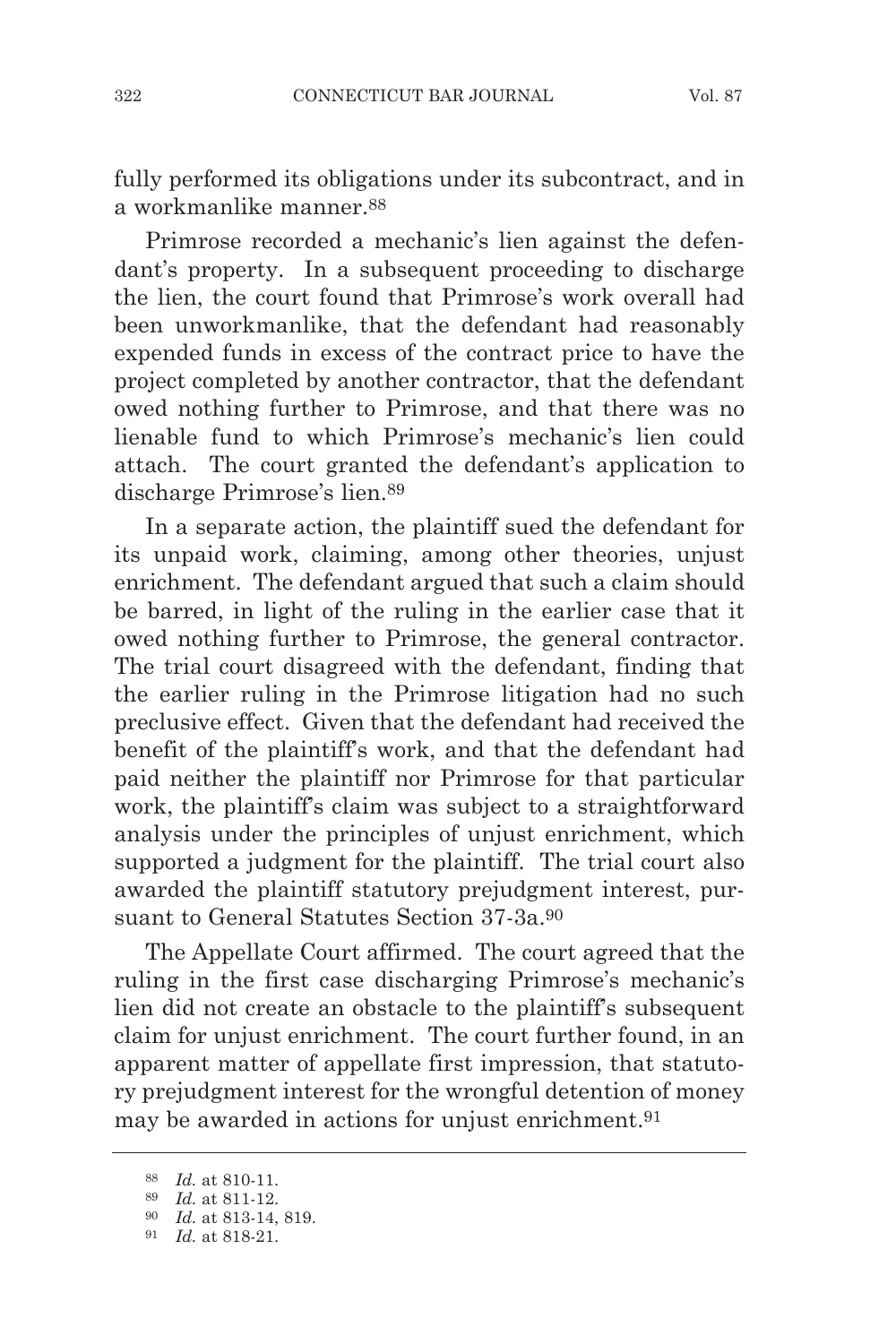fully performed its obligations under its subcontract, and in a workmanlike manner.88

Primrose recorded a mechanic's lien against the defendant's property. In a subsequent proceeding to discharge the lien, the court found that Primrose's work overall had been unworkmanlike, that the defendant had reasonably expended funds in excess of the contract price to have the project completed by another contractor, that the defendant owed nothing further to Primrose, and that there was no lienable fund to which Primrose's mechanic's lien could attach. The court granted the defendant's application to discharge Primrose's lien.89

In a separate action, the plaintiff sued the defendant for its unpaid work, claiming, among other theories, unjust enrichment. The defendant argued that such a claim should be barred, in light of the ruling in the earlier case that it owed nothing further to Primrose, the general contractor. The trial court disagreed with the defendant, finding that the earlier ruling in the Primrose litigation had no such preclusive effect. Given that the defendant had received the benefit of the plaintiff's work, and that the defendant had paid neither the plaintiff nor Primrose for that particular work, the plaintiff's claim was subject to a straightforward analysis under the principles of unjust enrichment, which supported a judgment for the plaintiff. The trial court also awarded the plaintiff statutory prejudgment interest, pursuant to General Statutes Section 37-3a.90

The Appellate Court affirmed. The court agreed that the ruling in the first case discharging Primrose's mechanic's lien did not create an obstacle to the plaintiff's subsequent claim for unjust enrichment. The court further found, in an apparent matter of appellate first impression, that statutory prejudgment interest for the wrongful detention of money may be awarded in actions for unjust enrichment.91

<sup>88</sup> *Id.* at 810-11.

<sup>89</sup> *Id.* at 811-12.

<sup>90</sup> *Id.* at 813-14, 819.

<sup>91</sup> *Id.* at 818-21.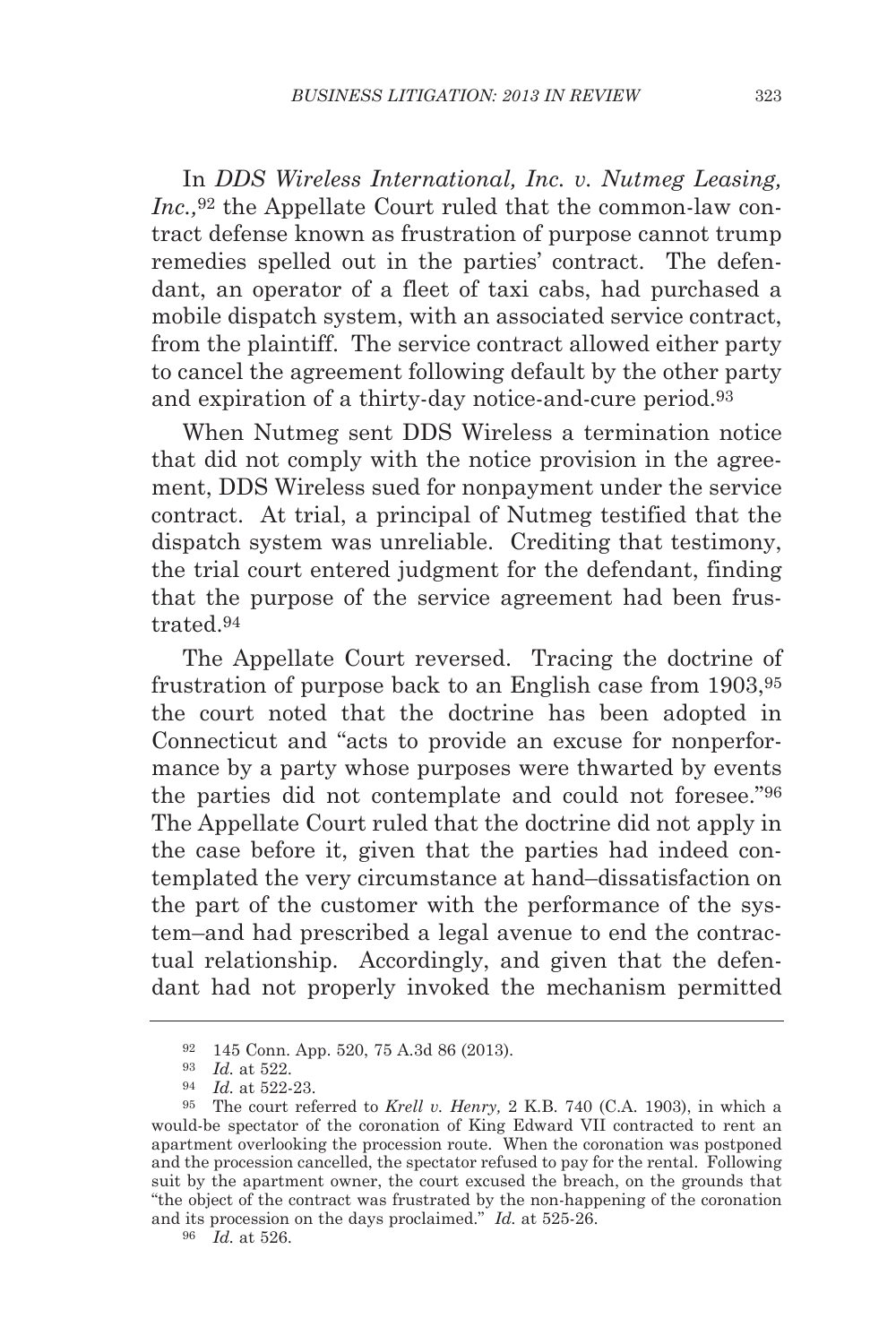In *DDS Wireless International, Inc. v. Nutmeg Leasing, Inc.,*<sup>92</sup> the Appellate Court ruled that the common-law contract defense known as frustration of purpose cannot trump remedies spelled out in the parties' contract. The defendant, an operator of a fleet of taxi cabs, had purchased a mobile dispatch system, with an associated service contract, from the plaintiff. The service contract allowed either party to cancel the agreement following default by the other party and expiration of a thirty-day notice-and-cure period.93

When Nutmeg sent DDS Wireless a termination notice that did not comply with the notice provision in the agreement, DDS Wireless sued for nonpayment under the service contract. At trial, a principal of Nutmeg testified that the dispatch system was unreliable. Crediting that testimony, the trial court entered judgment for the defendant, finding that the purpose of the service agreement had been frustrated.94

The Appellate Court reversed. Tracing the doctrine of frustration of purpose back to an English case from 1903,95 the court noted that the doctrine has been adopted in Connecticut and "acts to provide an excuse for nonperformance by a party whose purposes were thwarted by events the parties did not contemplate and could not foresee."96 The Appellate Court ruled that the doctrine did not apply in the case before it, given that the parties had indeed contemplated the very circumstance at hand–dissatisfaction on the part of the customer with the performance of the system–and had prescribed a legal avenue to end the contractual relationship. Accordingly, and given that the defendant had not properly invoked the mechanism permitted

<sup>92</sup> 145 Conn. App. 520, 75 A.3d 86 (2013).

<sup>93</sup> *Id.* at 522.

<sup>94</sup> *Id.* at 522-23.

<sup>95</sup> The court referred to *Krell v. Henry,* 2 K.B. 740 (C.A. 1903), in which a would-be spectator of the coronation of King Edward VII contracted to rent an apartment overlooking the procession route. When the coronation was postponed and the procession cancelled, the spectator refused to pay for the rental. Following suit by the apartment owner, the court excused the breach, on the grounds that "the object of the contract was frustrated by the non-happening of the coronation and its procession on the days proclaimed." *Id.* at 525-26.  $\frac{96}{16}$  *Id.* at 526.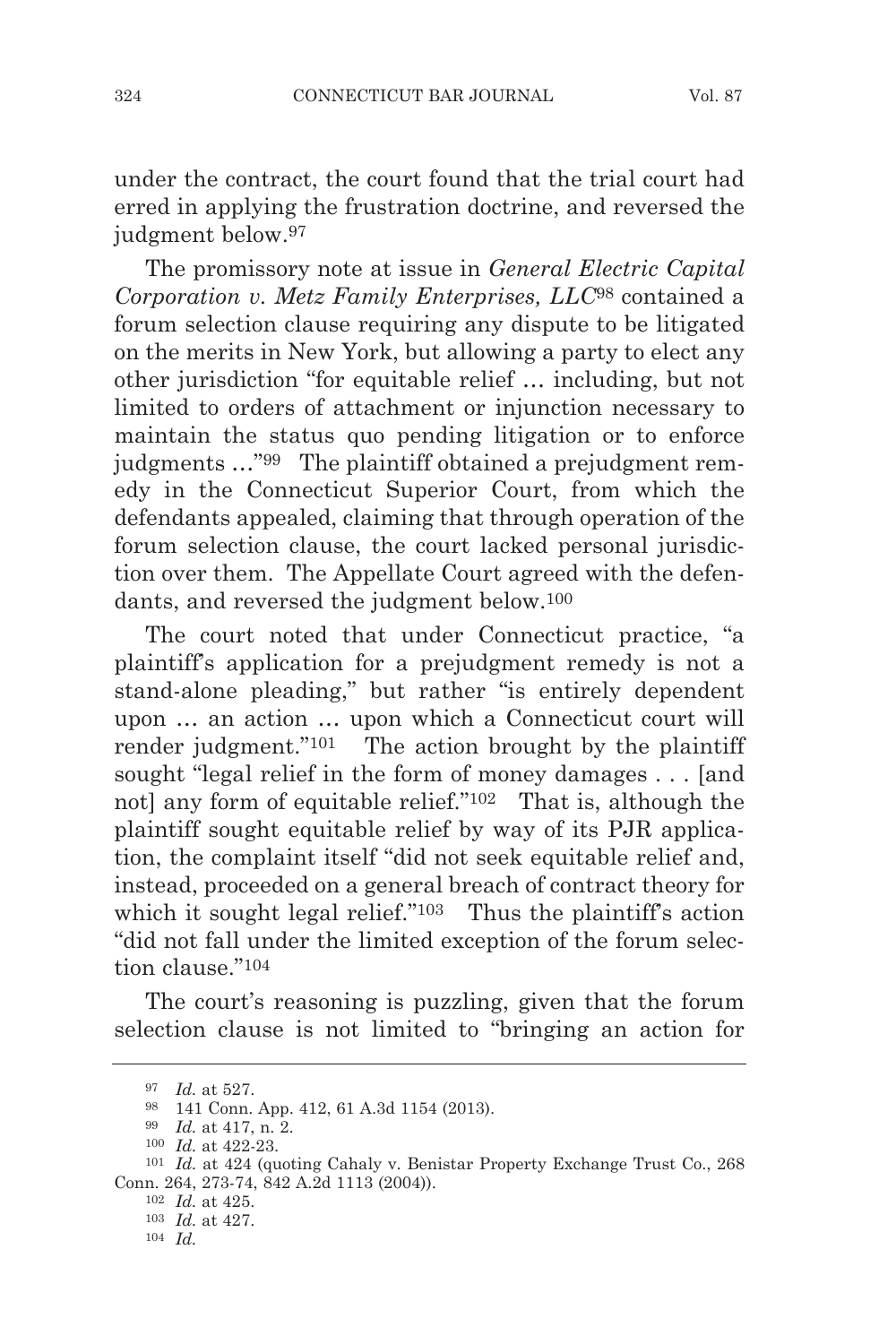under the contract, the court found that the trial court had erred in applying the frustration doctrine, and reversed the judgment below.<sup>97</sup>

The promissory note at issue in *General Electric Capital Corporation v. Metz Family Enterprises, LLC*<sup>98</sup> contained a forum selection clause requiring any dispute to be litigated on the merits in New York, but allowing a party to elect any other jurisdiction "for equitable relief … including, but not limited to orders of attachment or injunction necessary to maintain the status quo pending litigation or to enforce judgments …"99 The plaintiff obtained a prejudgment remedy in the Connecticut Superior Court, from which the defendants appealed, claiming that through operation of the forum selection clause, the court lacked personal jurisdiction over them. The Appellate Court agreed with the defendants, and reversed the judgment below.100

The court noted that under Connecticut practice, "a plaintiff's application for a prejudgment remedy is not a stand-alone pleading," but rather "is entirely dependent upon … an action … upon which a Connecticut court will render judgment."101 The action brought by the plaintiff sought "legal relief in the form of money damages . . . [and not] any form of equitable relief."<sup>102</sup> That is, although the plaintiff sought equitable relief by way of its PJR application, the complaint itself "did not seek equitable relief and, instead, proceeded on a general breach of contract theory for which it sought legal relief."<sup>103</sup> Thus the plaintiff's action "did not fall under the limited exception of the forum selection clause."104

The court's reasoning is puzzling, given that the forum selection clause is not limited to "bringing an action for

104 *Id.*

<sup>97</sup> *Id.* at 527.

<sup>98</sup> 141 Conn. App. 412, 61 A.3d 1154 (2013).

<sup>99</sup> *Id.* at 417, n. 2.

<sup>100</sup> *Id.* at 422-23.

<sup>101</sup> *Id.* at 424 (quoting Cahaly v. Benistar Property Exchange Trust Co., 268 Conn. 264, 273-74, 842 A.2d 1113 (2004)).<br><sup>102</sup> *Id.* at 425.

<sup>102</sup> *Id.* at 425. 103 *Id.* at 427.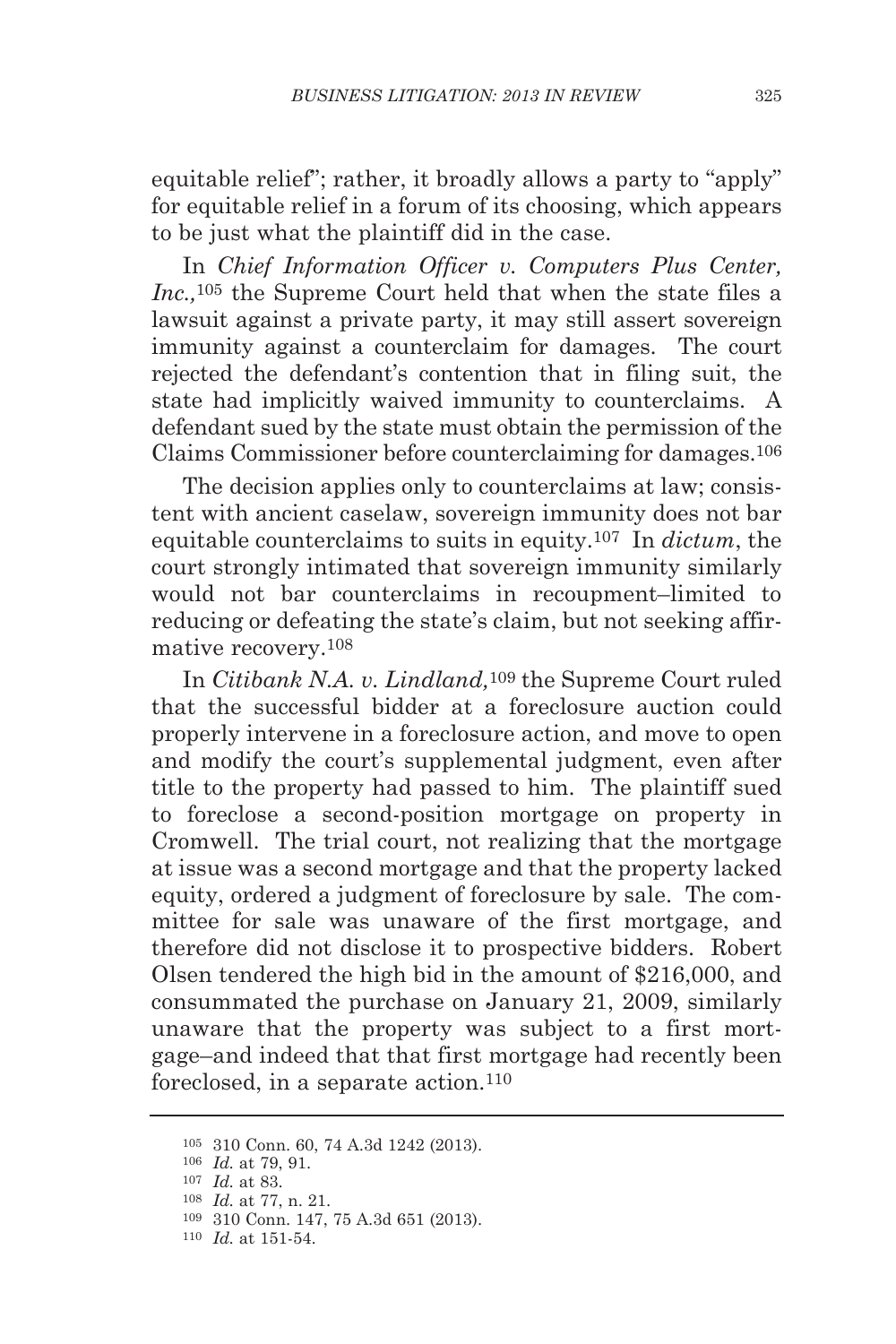equitable relief"; rather, it broadly allows a party to "apply" for equitable relief in a forum of its choosing, which appears to be just what the plaintiff did in the case.

In *Chief Information Officer v. Computers Plus Center, Inc.,*<sup>105</sup> the Supreme Court held that when the state files a lawsuit against a private party, it may still assert sovereign immunity against a counterclaim for damages. The court rejected the defendant's contention that in filing suit, the state had implicitly waived immunity to counterclaims. A defendant sued by the state must obtain the permission of the Claims Commissioner before counterclaiming for damages.106

The decision applies only to counterclaims at law; consistent with ancient caselaw, sovereign immunity does not bar equitable counterclaims to suits in equity.107 In *dictum*, the court strongly intimated that sovereign immunity similarly would not bar counterclaims in recoupment–limited to reducing or defeating the state's claim, but not seeking affirmative recovery.108

In *Citibank N.A. v. Lindland,*109 the Supreme Court ruled that the successful bidder at a foreclosure auction could properly intervene in a foreclosure action, and move to open and modify the court's supplemental judgment, even after title to the property had passed to him. The plaintiff sued to foreclose a second-position mortgage on property in Cromwell. The trial court, not realizing that the mortgage at issue was a second mortgage and that the property lacked equity, ordered a judgment of foreclosure by sale. The committee for sale was unaware of the first mortgage, and therefore did not disclose it to prospective bidders. Robert Olsen tendered the high bid in the amount of \$216,000, and consummated the purchase on January 21, 2009, similarly unaware that the property was subject to a first mortgage–and indeed that that first mortgage had recently been foreclosed, in a separate action.110

<sup>105</sup> 310 Conn. 60, 74 A.3d 1242 (2013).

<sup>106</sup> *Id.* at 79, 91.

<sup>107</sup> *Id.* at 83.

<sup>108</sup> *Id.* at 77, n. 21.

<sup>109</sup> 310 Conn. 147, 75 A.3d 651 (2013).

<sup>110</sup> *Id.* at 151-54.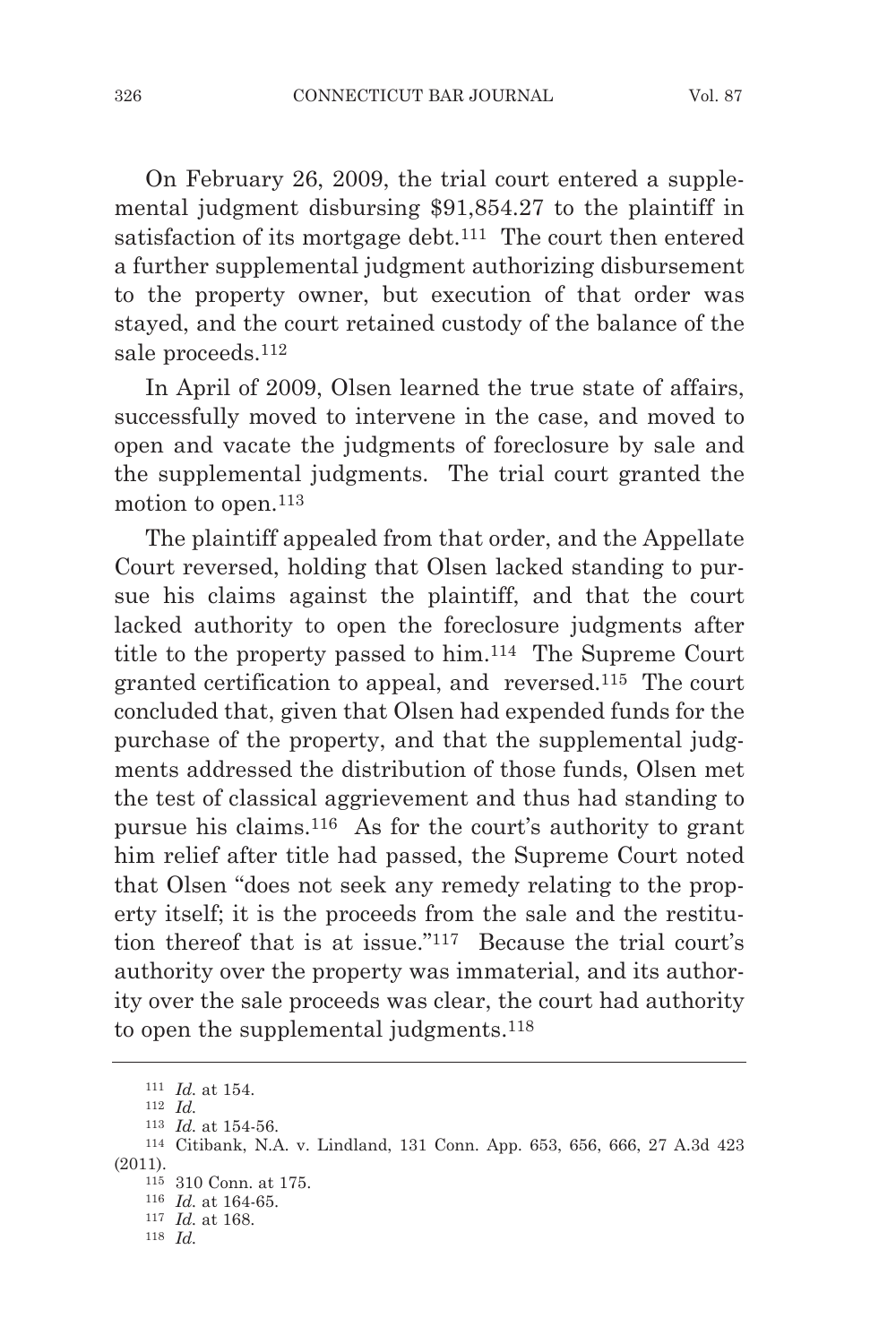On February 26, 2009, the trial court entered a supplemental judgment disbursing \$91,854.27 to the plaintiff in satisfaction of its mortgage debt.111 The court then entered a further supplemental judgment authorizing disbursement to the property owner, but execution of that order was stayed, and the court retained custody of the balance of the sale proceeds.112

In April of 2009, Olsen learned the true state of affairs, successfully moved to intervene in the case, and moved to open and vacate the judgments of foreclosure by sale and the supplemental judgments. The trial court granted the motion to open.<sup>113</sup>

The plaintiff appealed from that order, and the Appellate Court reversed, holding that Olsen lacked standing to pursue his claims against the plaintiff, and that the court lacked authority to open the foreclosure judgments after title to the property passed to him.114 The Supreme Court granted certification to appeal, and reversed.115 The court concluded that, given that Olsen had expended funds for the purchase of the property, and that the supplemental judgments addressed the distribution of those funds, Olsen met the test of classical aggrievement and thus had standing to pursue his claims.116 As for the court's authority to grant him relief after title had passed, the Supreme Court noted that Olsen "does not seek any remedy relating to the property itself; it is the proceeds from the sale and the restitution thereof that is at issue."117 Because the trial court's authority over the property was immaterial, and its authority over the sale proceeds was clear, the court had authority to open the supplemental judgments.118

<sup>111</sup> *Id.* at 154.

<sup>112</sup> *Id.*

<sup>113</sup> *Id.* at 154-56.

<sup>114</sup> Citibank, N.A. v. Lindland, 131 Conn. App. 653, 656, 666, 27 A.3d 423 (2011).

<sup>115</sup> 310 Conn. at 175.

<sup>116</sup> *Id.* at 164-65.

<sup>117</sup> *Id.* at 168.

<sup>118</sup> *Id.*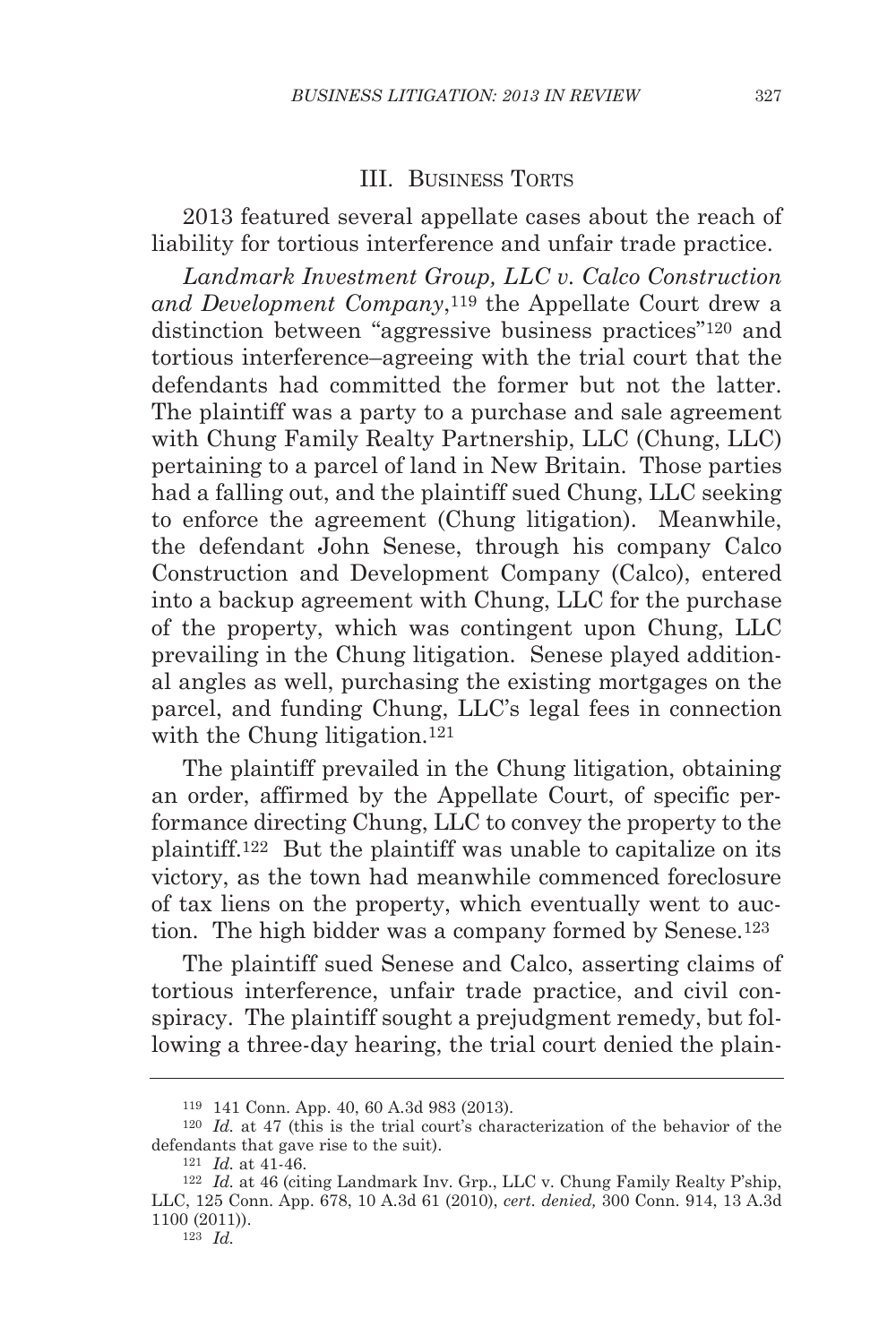# III. BUSINESS TORTS

2013 featured several appellate cases about the reach of liability for tortious interference and unfair trade practice.

*Landmark Investment Group, LLC v. Calco Construction and Development Company*,119 the Appellate Court drew a distinction between "aggressive business practices"120 and tortious interference–agreeing with the trial court that the defendants had committed the former but not the latter. The plaintiff was a party to a purchase and sale agreement with Chung Family Realty Partnership, LLC (Chung, LLC) pertaining to a parcel of land in New Britain. Those parties had a falling out, and the plaintiff sued Chung, LLC seeking to enforce the agreement (Chung litigation). Meanwhile, the defendant John Senese, through his company Calco Construction and Development Company (Calco), entered into a backup agreement with Chung, LLC for the purchase of the property, which was contingent upon Chung, LLC prevailing in the Chung litigation. Senese played additional angles as well, purchasing the existing mortgages on the parcel, and funding Chung, LLC's legal fees in connection with the Chung litigation.<sup>121</sup>

The plaintiff prevailed in the Chung litigation, obtaining an order, affirmed by the Appellate Court, of specific performance directing Chung, LLC to convey the property to the plaintiff.122 But the plaintiff was unable to capitalize on its victory, as the town had meanwhile commenced foreclosure of tax liens on the property, which eventually went to auction. The high bidder was a company formed by Senese.<sup>123</sup>

The plaintiff sued Senese and Calco, asserting claims of tortious interference, unfair trade practice, and civil conspiracy. The plaintiff sought a prejudgment remedy, but following a three-day hearing, the trial court denied the plain-

<sup>119</sup> 141 Conn. App. 40, 60 A.3d 983 (2013).

<sup>120</sup> *Id.* at 47 (this is the trial court's characterization of the behavior of the defendants that gave rise to the suit).

<sup>121</sup> *Id.* at 41-46.

<sup>122</sup> *Id.* at 46 (citing Landmark Inv. Grp., LLC v. Chung Family Realty P'ship, LLC, 125 Conn. App. 678, 10 A.3d 61 (2010), *cert. denied,* 300 Conn. 914, 13 A.3d 1100 (2011)).

<sup>123</sup> *Id.*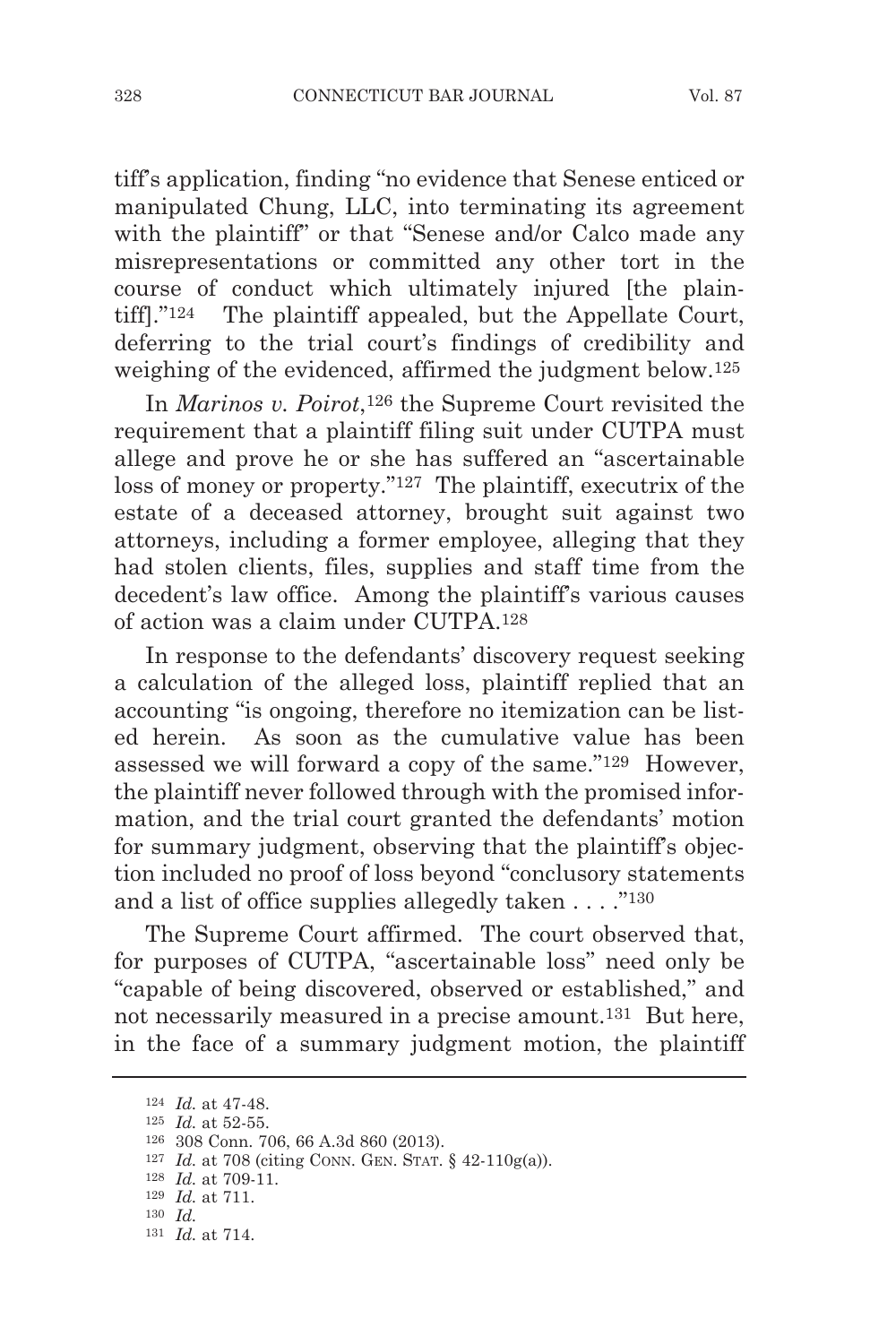tiff's application, finding "no evidence that Senese enticed or manipulated Chung, LLC, into terminating its agreement with the plaintiff" or that "Senese and/or Calco made any misrepresentations or committed any other tort in the course of conduct which ultimately injured [the plaintiff]."124 The plaintiff appealed, but the Appellate Court, deferring to the trial court's findings of credibility and weighing of the evidenced, affirmed the judgment below.125

In *Marinos v. Poirot*,126 the Supreme Court revisited the requirement that a plaintiff filing suit under CUTPA must allege and prove he or she has suffered an "ascertainable loss of money or property."127 The plaintiff, executrix of the estate of a deceased attorney, brought suit against two attorneys, including a former employee, alleging that they had stolen clients, files, supplies and staff time from the decedent's law office. Among the plaintiff's various causes of action was a claim under CUTPA.128

In response to the defendants' discovery request seeking a calculation of the alleged loss, plaintiff replied that an accounting "is ongoing, therefore no itemization can be listed herein. As soon as the cumulative value has been assessed we will forward a copy of the same."129 However, the plaintiff never followed through with the promised information, and the trial court granted the defendants' motion for summary judgment, observing that the plaintiff's objection included no proof of loss beyond "conclusory statements and a list of office supplies allegedly taken . . . ."130

The Supreme Court affirmed. The court observed that, for purposes of CUTPA, "ascertainable loss" need only be "capable of being discovered, observed or established," and not necessarily measured in a precise amount.<sup>131</sup> But here, in the face of a summary judgment motion, the plaintiff

<sup>124</sup> *Id.* at 47-48.

<sup>125</sup> *Id.* at 52-55.

<sup>126</sup> 308 Conn. 706, 66 A.3d 860 (2013).

<sup>127</sup> *Id.* at 708 (citing CONN. GEN. STAT. § 42-110g(a)).

<sup>128</sup> *Id.* at 709-11.

<sup>129</sup> *Id.* at 711.

<sup>130</sup> *Id.*

<sup>131</sup> *Id.* at 714.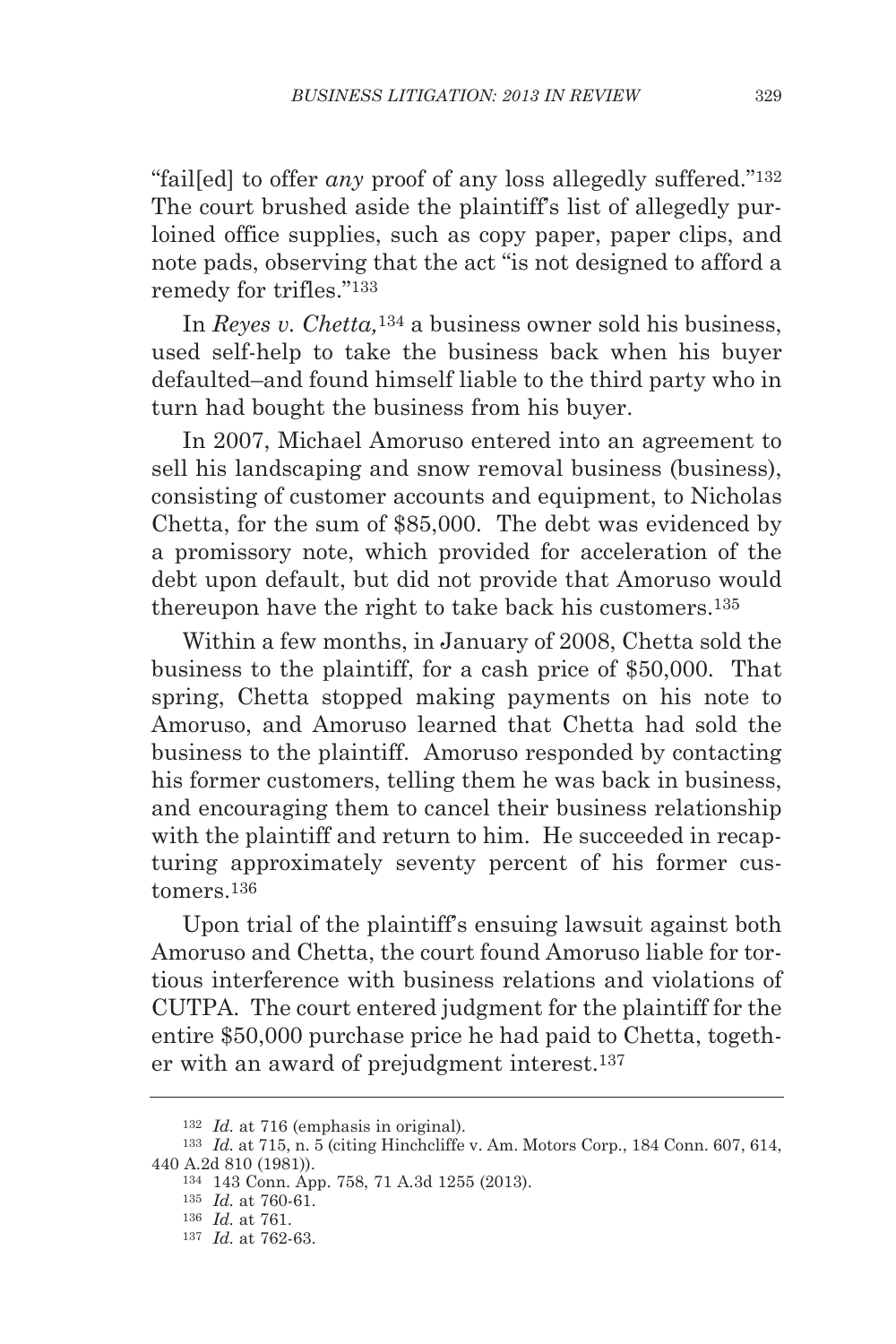"fail[ed] to offer *any* proof of any loss allegedly suffered."132 The court brushed aside the plaintiff's list of allegedly purloined office supplies, such as copy paper, paper clips, and note pads, observing that the act "is not designed to afford a remedy for trifles."133

In *Reyes v. Chetta,*<sup>134</sup> a business owner sold his business, used self-help to take the business back when his buyer defaulted–and found himself liable to the third party who in turn had bought the business from his buyer.

In 2007, Michael Amoruso entered into an agreement to sell his landscaping and snow removal business (business), consisting of customer accounts and equipment, to Nicholas Chetta, for the sum of \$85,000. The debt was evidenced by a promissory note, which provided for acceleration of the debt upon default, but did not provide that Amoruso would thereupon have the right to take back his customers.135

Within a few months, in January of 2008, Chetta sold the business to the plaintiff, for a cash price of \$50,000. That spring, Chetta stopped making payments on his note to Amoruso, and Amoruso learned that Chetta had sold the business to the plaintiff. Amoruso responded by contacting his former customers, telling them he was back in business, and encouraging them to cancel their business relationship with the plaintiff and return to him. He succeeded in recapturing approximately seventy percent of his former customers.136

Upon trial of the plaintiff's ensuing lawsuit against both Amoruso and Chetta, the court found Amoruso liable for tortious interference with business relations and violations of CUTPA. The court entered judgment for the plaintiff for the entire \$50,000 purchase price he had paid to Chetta, together with an award of prejudgment interest.137

<sup>132</sup> *Id.* at 716 (emphasis in original).

<sup>133</sup> *Id.* at 715, n. 5 (citing Hinchcliffe v. Am. Motors Corp., 184 Conn. 607, 614, 440 A.2d 810 (1981)).

<sup>134</sup> 143 Conn. App. 758, 71 A.3d 1255 (2013).

<sup>135</sup> *Id.* at 760-61.

<sup>136</sup> *Id.* at 761.

<sup>137</sup> *Id.* at 762-63.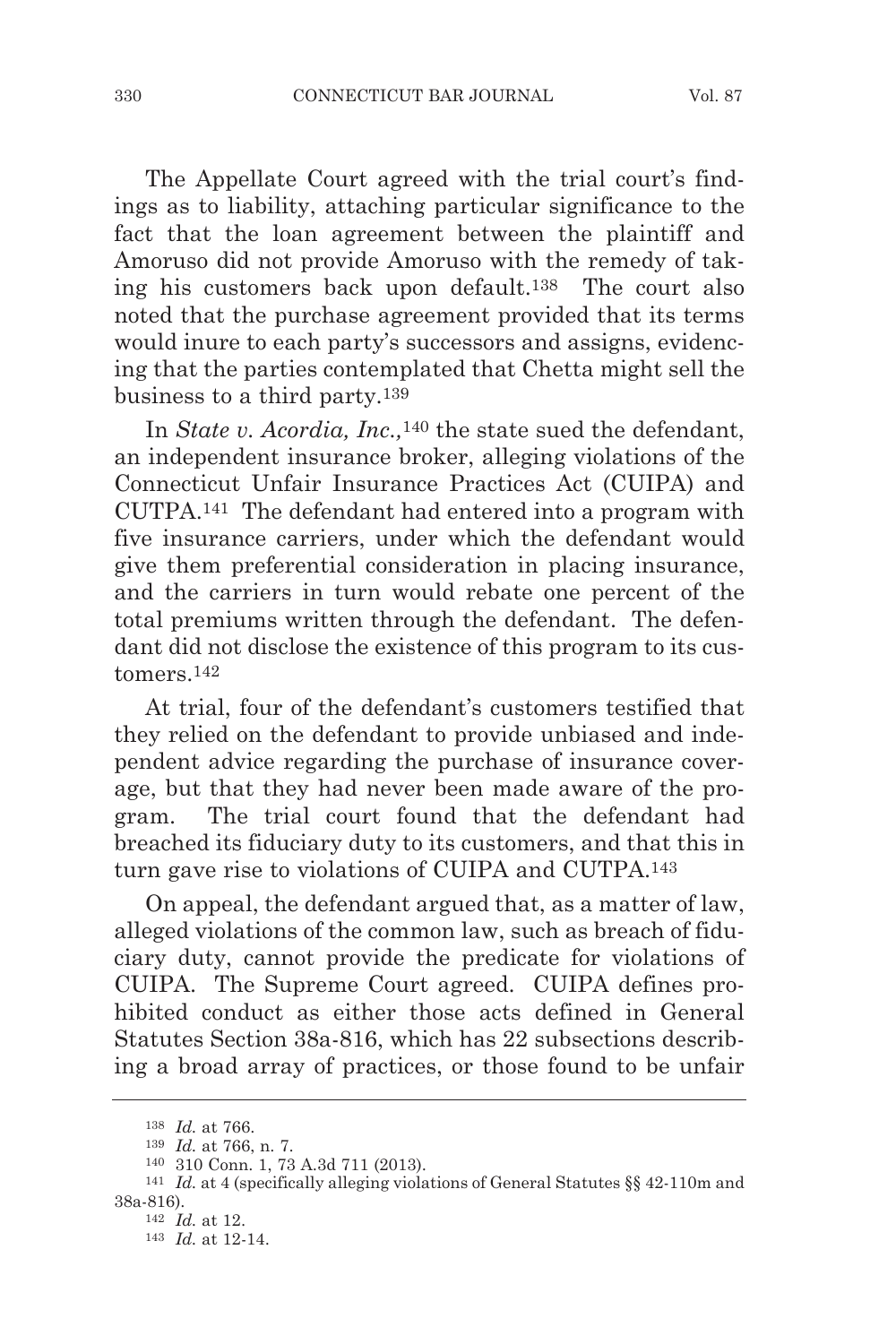The Appellate Court agreed with the trial court's findings as to liability, attaching particular significance to the fact that the loan agreement between the plaintiff and Amoruso did not provide Amoruso with the remedy of taking his customers back upon default.138 The court also noted that the purchase agreement provided that its terms would inure to each party's successors and assigns, evidencing that the parties contemplated that Chetta might sell the business to a third party.139

In *State v. Acordia, Inc.,*140 the state sued the defendant, an independent insurance broker, alleging violations of the Connecticut Unfair Insurance Practices Act (CUIPA) and CUTPA.141 The defendant had entered into a program with five insurance carriers, under which the defendant would give them preferential consideration in placing insurance, and the carriers in turn would rebate one percent of the total premiums written through the defendant. The defendant did not disclose the existence of this program to its customers.142

At trial, four of the defendant's customers testified that they relied on the defendant to provide unbiased and independent advice regarding the purchase of insurance coverage, but that they had never been made aware of the program. The trial court found that the defendant had breached its fiduciary duty to its customers, and that this in turn gave rise to violations of CUIPA and CUTPA.143

On appeal, the defendant argued that, as a matter of law, alleged violations of the common law, such as breach of fiduciary duty, cannot provide the predicate for violations of CUIPA. The Supreme Court agreed. CUIPA defines prohibited conduct as either those acts defined in General Statutes Section 38a-816, which has 22 subsections describing a broad array of practices, or those found to be unfair

<sup>138</sup> *Id.* at 766.

<sup>139</sup> *Id.* at 766, n. 7.

<sup>140</sup> 310 Conn. 1, 73 A.3d 711 (2013).

<sup>141</sup> *Id.* at 4 (specifically alleging violations of General Statutes §§ 42-110m and 38a-816).

<sup>142</sup> *Id.* at 12.

<sup>143</sup> *Id.* at 12-14.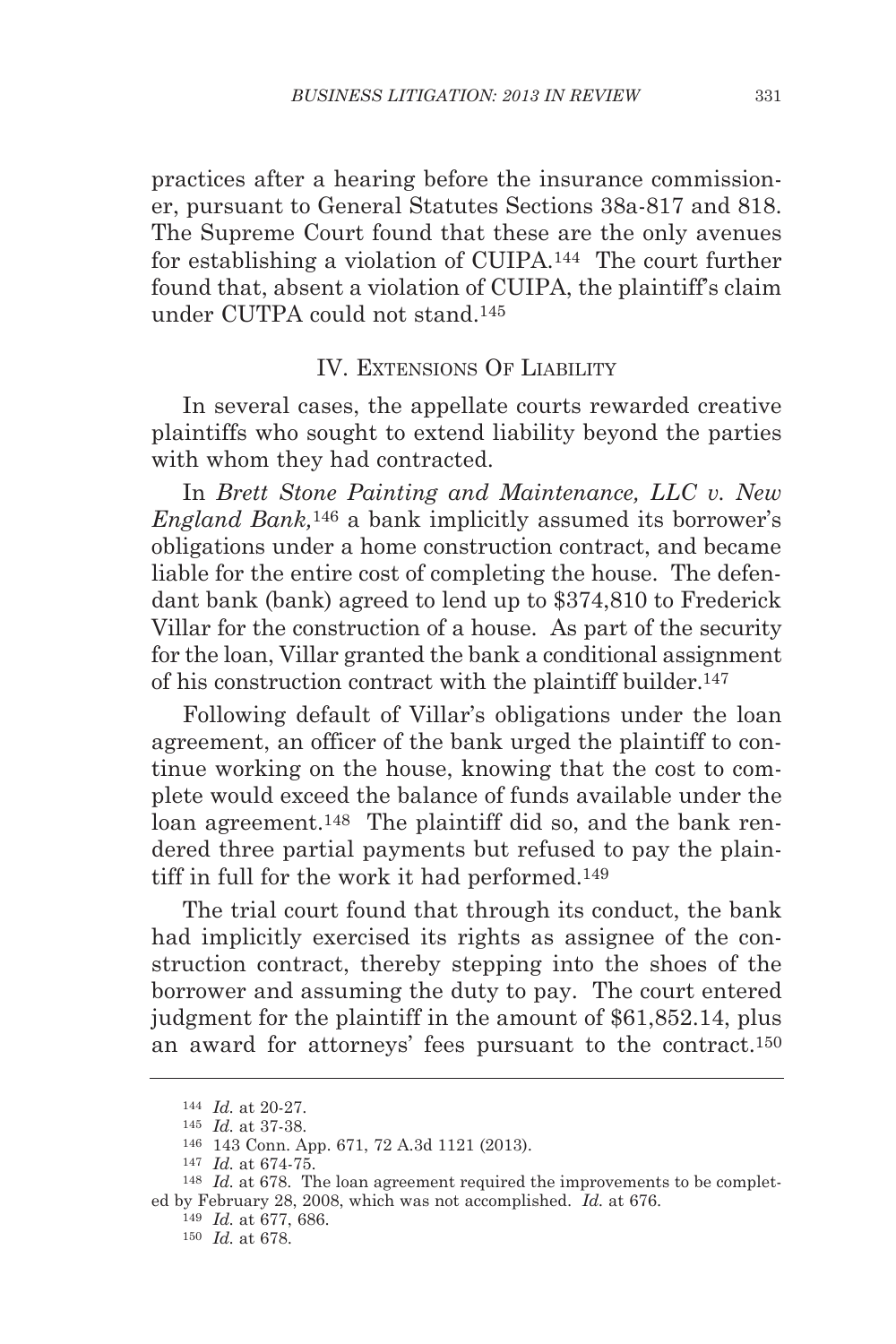practices after a hearing before the insurance commissioner, pursuant to General Statutes Sections 38a-817 and 818. The Supreme Court found that these are the only avenues for establishing a violation of CUIPA.144 The court further found that, absent a violation of CUIPA, the plaintiff's claim under CUTPA could not stand.145

#### IV. EXTENSIONS OF LIABILITY

In several cases, the appellate courts rewarded creative plaintiffs who sought to extend liability beyond the parties with whom they had contracted.

In *Brett Stone Painting and Maintenance, LLC v. New England Bank,*<sup>146</sup> a bank implicitly assumed its borrower's obligations under a home construction contract, and became liable for the entire cost of completing the house. The defendant bank (bank) agreed to lend up to \$374,810 to Frederick Villar for the construction of a house. As part of the security for the loan, Villar granted the bank a conditional assignment of his construction contract with the plaintiff builder.147

Following default of Villar's obligations under the loan agreement, an officer of the bank urged the plaintiff to continue working on the house, knowing that the cost to complete would exceed the balance of funds available under the loan agreement.<sup>148</sup> The plaintiff did so, and the bank rendered three partial payments but refused to pay the plaintiff in full for the work it had performed.149

The trial court found that through its conduct, the bank had implicitly exercised its rights as assignee of the construction contract, thereby stepping into the shoes of the borrower and assuming the duty to pay. The court entered judgment for the plaintiff in the amount of \$61,852.14, plus an award for attorneys' fees pursuant to the contract.150

<sup>144</sup> *Id.* at 20-27.

<sup>145</sup> *Id.* at 37-38.

<sup>146</sup> 143 Conn. App. 671, 72 A.3d 1121 (2013).

<sup>147</sup> *Id.* at 674-75.

<sup>148</sup> *Id.* at 678. The loan agreement required the improvements to be completed by February 28, 2008, which was not accomplished. *Id.* at 676.

<sup>149</sup> *Id.* at 677, 686.

<sup>150</sup> *Id.* at 678.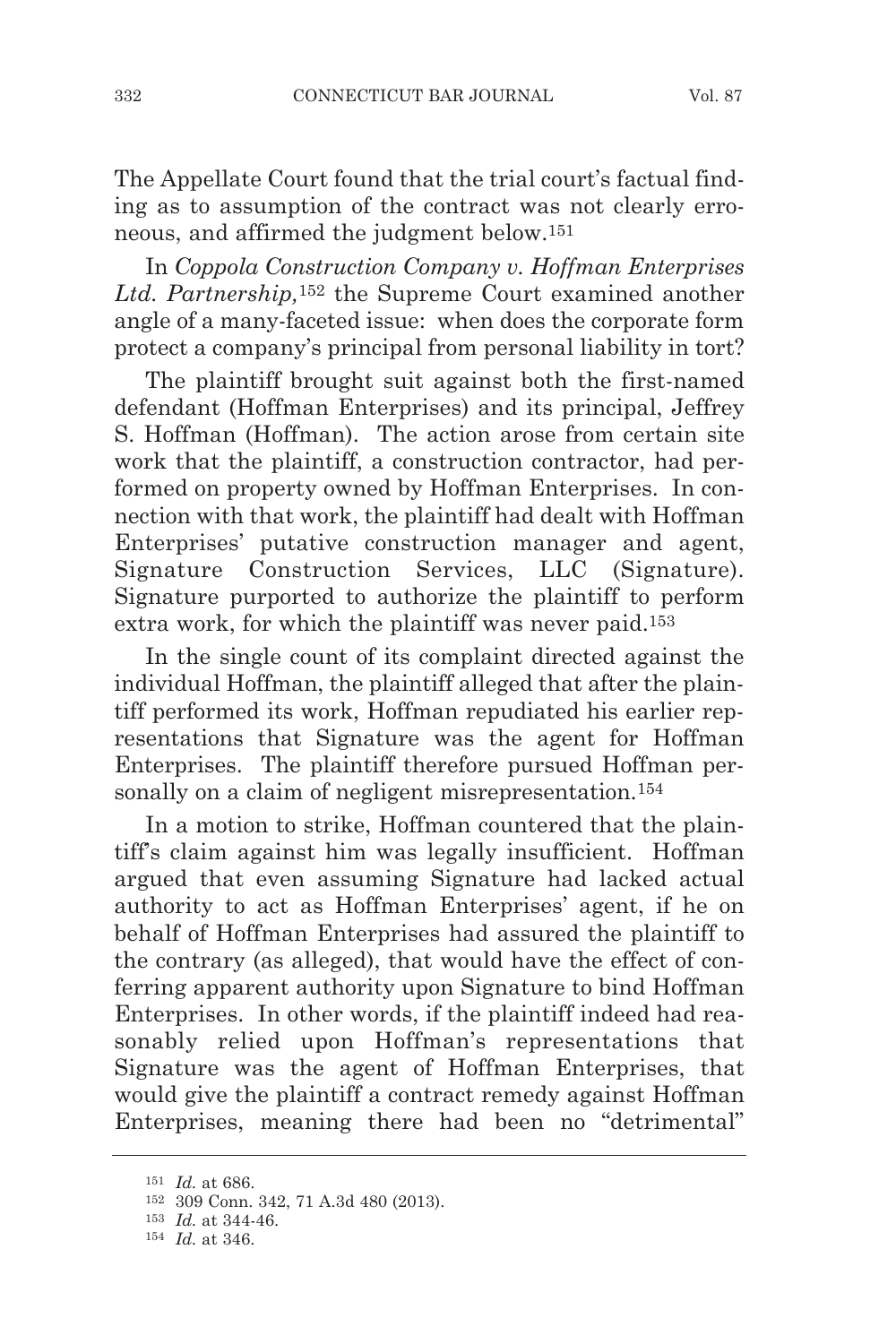The Appellate Court found that the trial court's factual finding as to assumption of the contract was not clearly erroneous, and affirmed the judgment below.151

In *Coppola Construction Company v. Hoffman Enterprises Ltd. Partnership,*<sup>152</sup> the Supreme Court examined another angle of a many-faceted issue: when does the corporate form protect a company's principal from personal liability in tort?

The plaintiff brought suit against both the first-named defendant (Hoffman Enterprises) and its principal, Jeffrey S. Hoffman (Hoffman). The action arose from certain site work that the plaintiff, a construction contractor, had performed on property owned by Hoffman Enterprises. In connection with that work, the plaintiff had dealt with Hoffman Enterprises' putative construction manager and agent, Signature Construction Services, LLC (Signature). Signature purported to authorize the plaintiff to perform extra work, for which the plaintiff was never paid.153

In the single count of its complaint directed against the individual Hoffman, the plaintiff alleged that after the plaintiff performed its work, Hoffman repudiated his earlier representations that Signature was the agent for Hoffman Enterprises. The plaintiff therefore pursued Hoffman personally on a claim of negligent misrepresentation.<sup>154</sup>

In a motion to strike, Hoffman countered that the plaintiff's claim against him was legally insufficient. Hoffman argued that even assuming Signature had lacked actual authority to act as Hoffman Enterprises' agent, if he on behalf of Hoffman Enterprises had assured the plaintiff to the contrary (as alleged), that would have the effect of conferring apparent authority upon Signature to bind Hoffman Enterprises. In other words, if the plaintiff indeed had reasonably relied upon Hoffman's representations that Signature was the agent of Hoffman Enterprises, that would give the plaintiff a contract remedy against Hoffman Enterprises, meaning there had been no "detrimental"

<sup>151</sup> *Id.* at 686.

<sup>152</sup> 309 Conn. 342, 71 A.3d 480 (2013).

<sup>153</sup> *Id.* at 344-46.

<sup>154</sup> *Id.* at 346.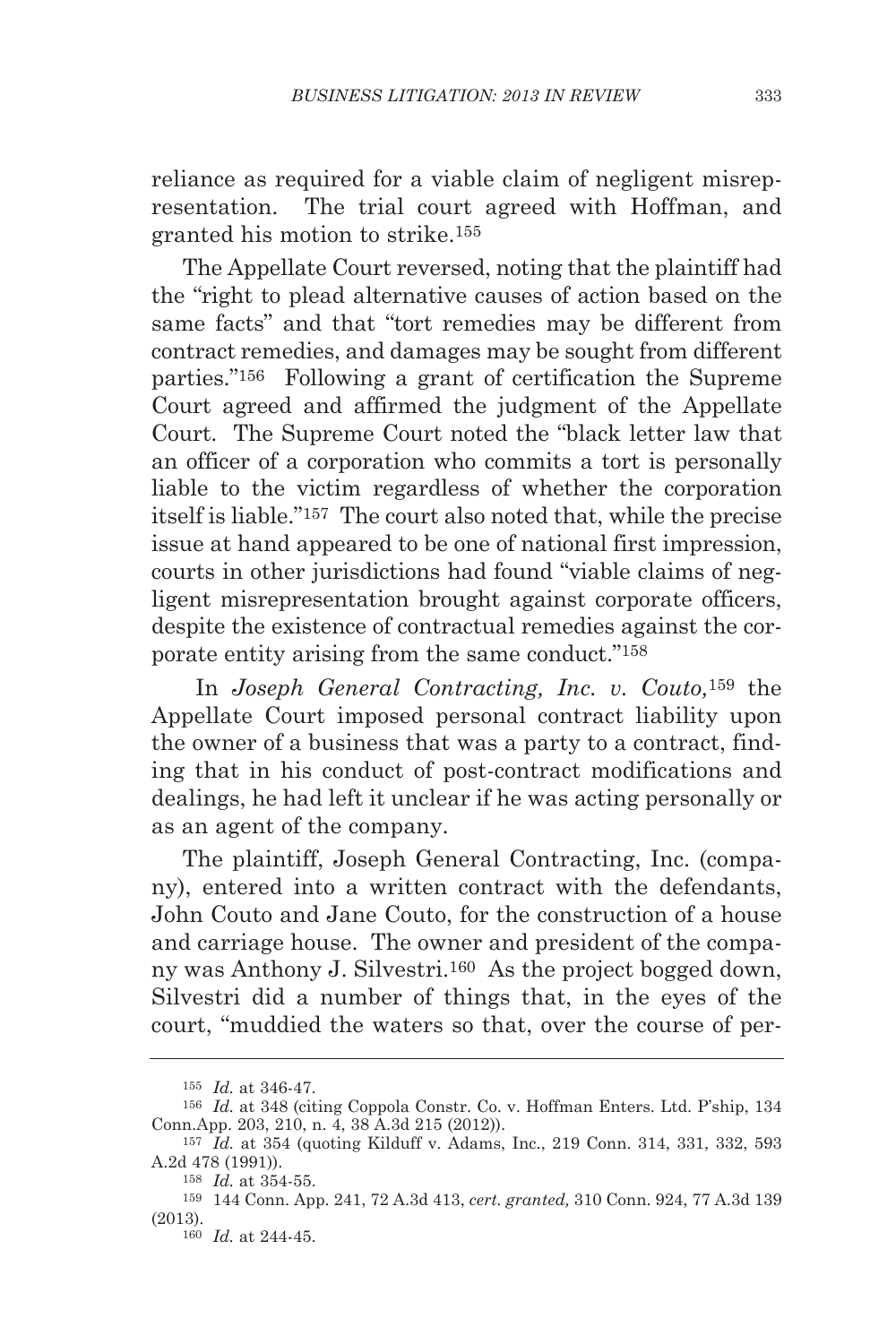reliance as required for a viable claim of negligent misrepresentation. The trial court agreed with Hoffman, and granted his motion to strike.155

The Appellate Court reversed, noting that the plaintiff had the "right to plead alternative causes of action based on the same facts" and that "tort remedies may be different from contract remedies, and damages may be sought from different parties."156 Following a grant of certification the Supreme Court agreed and affirmed the judgment of the Appellate Court. The Supreme Court noted the "black letter law that an officer of a corporation who commits a tort is personally liable to the victim regardless of whether the corporation itself is liable."157 The court also noted that, while the precise issue at hand appeared to be one of national first impression, courts in other jurisdictions had found "viable claims of negligent misrepresentation brought against corporate officers, despite the existence of contractual remedies against the corporate entity arising from the same conduct."158

In *Joseph General Contracting, Inc. v. Couto,*159 the Appellate Court imposed personal contract liability upon the owner of a business that was a party to a contract, finding that in his conduct of post-contract modifications and dealings, he had left it unclear if he was acting personally or as an agent of the company.

The plaintiff, Joseph General Contracting, Inc. (company), entered into a written contract with the defendants, John Couto and Jane Couto, for the construction of a house and carriage house. The owner and president of the company was Anthony J. Silvestri.160 As the project bogged down, Silvestri did a number of things that, in the eyes of the court, "muddied the waters so that, over the course of per-

<sup>155</sup> *Id.* at 346-47.

<sup>156</sup> *Id.* at 348 (citing Coppola Constr. Co. v. Hoffman Enters. Ltd. P'ship, 134 Conn.App. 203, 210, n. 4, 38 A.3d 215 (2012)).

<sup>157</sup> *Id.* at 354 (quoting Kilduff v. Adams, Inc., 219 Conn. 314, 331, 332, 593 A.2d 478 (1991)).

<sup>158</sup> *Id.* at 354-55.

<sup>159</sup> 144 Conn. App. 241, 72 A.3d 413, *cert. granted,* 310 Conn. 924, 77 A.3d 139 (2013).

<sup>160</sup> *Id.* at 244-45.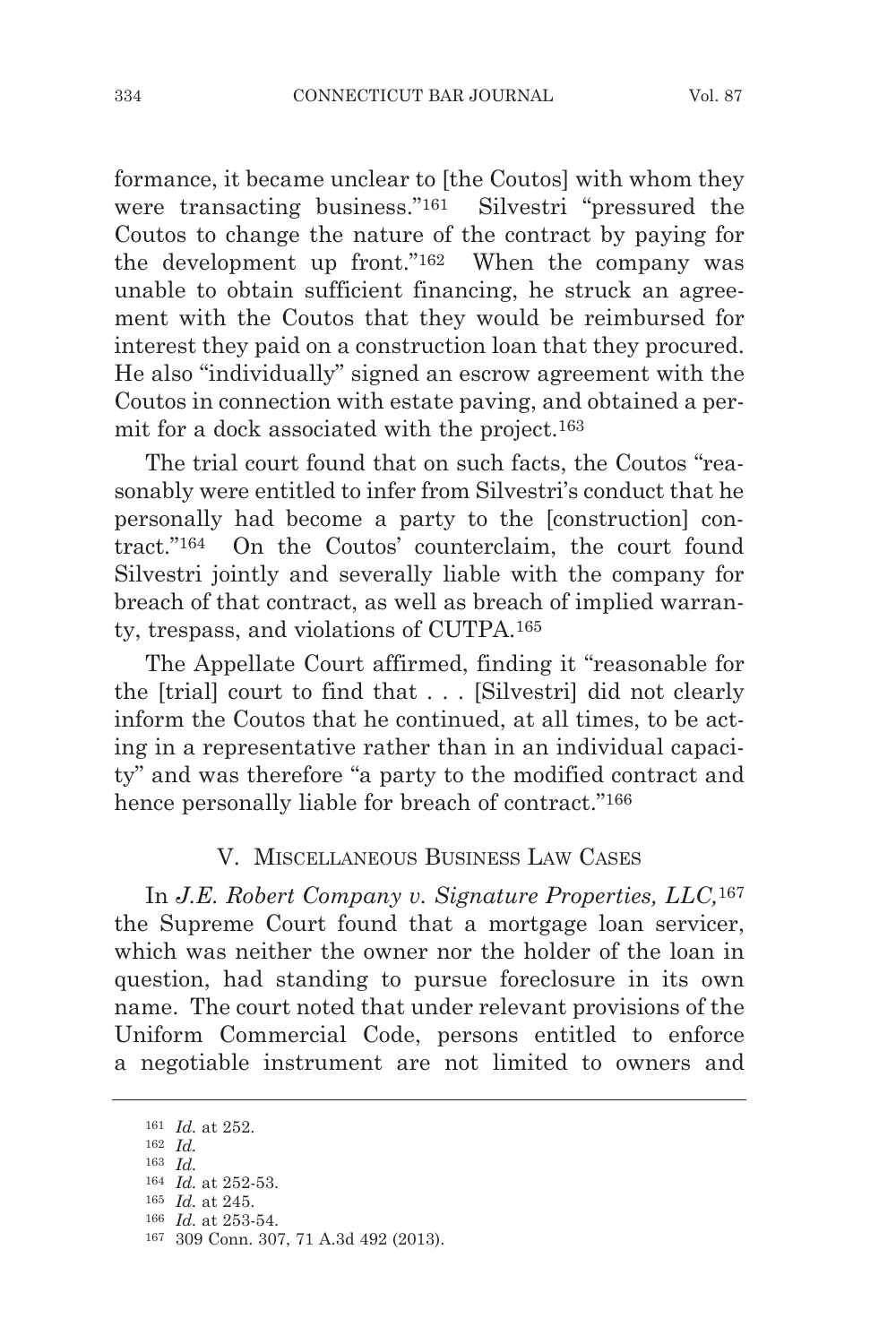formance, it became unclear to [the Coutos] with whom they were transacting business."161 Silvestri "pressured the Coutos to change the nature of the contract by paying for the development up front."162 When the company was unable to obtain sufficient financing, he struck an agreement with the Coutos that they would be reimbursed for interest they paid on a construction loan that they procured. He also "individually" signed an escrow agreement with the Coutos in connection with estate paving, and obtained a permit for a dock associated with the project.163

The trial court found that on such facts, the Coutos "reasonably were entitled to infer from Silvestri's conduct that he personally had become a party to the [construction] contract."164 On the Coutos' counterclaim, the court found Silvestri jointly and severally liable with the company for breach of that contract, as well as breach of implied warranty, trespass, and violations of CUTPA.165

The Appellate Court affirmed, finding it "reasonable for the [trial] court to find that . . . [Silvestri] did not clearly inform the Coutos that he continued, at all times, to be acting in a representative rather than in an individual capacity" and was therefore "a party to the modified contract and hence personally liable for breach of contract."<sup>166</sup>

#### V. MISCELLANEOUS BUSINESS LAW CASES

In *J.E. Robert Company v. Signature Properties, LLC,*<sup>167</sup> the Supreme Court found that a mortgage loan servicer, which was neither the owner nor the holder of the loan in question, had standing to pursue foreclosure in its own name. The court noted that under relevant provisions of the Uniform Commercial Code, persons entitled to enforce a negotiable instrument are not limited to owners and

<sup>161</sup> *Id.* at 252.

<sup>162</sup> *Id.*

<sup>163</sup> *Id.*

<sup>164</sup> *Id.* at 252-53. 165 *Id.* at 245.

<sup>166</sup> *Id.* at 253-54.

<sup>167</sup> 309 Conn. 307, 71 A.3d 492 (2013).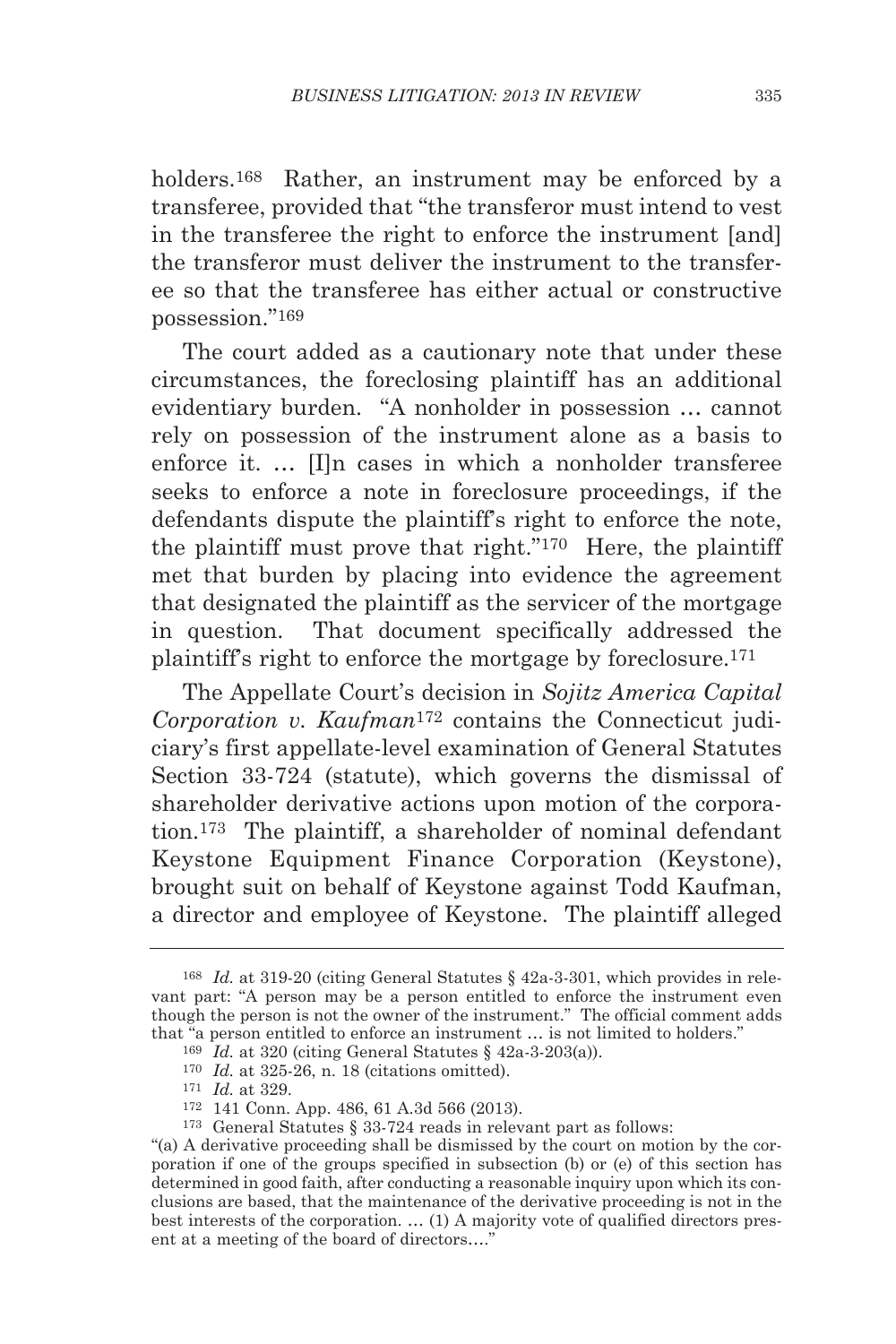holders.168 Rather, an instrument may be enforced by a transferee, provided that "the transferor must intend to vest in the transferee the right to enforce the instrument [and] the transferor must deliver the instrument to the transferee so that the transferee has either actual or constructive possession."169

The court added as a cautionary note that under these circumstances, the foreclosing plaintiff has an additional evidentiary burden. "A nonholder in possession … cannot rely on possession of the instrument alone as a basis to enforce it. … [I]n cases in which a nonholder transferee seeks to enforce a note in foreclosure proceedings, if the defendants dispute the plaintiff's right to enforce the note, the plaintiff must prove that right."170 Here, the plaintiff met that burden by placing into evidence the agreement that designated the plaintiff as the servicer of the mortgage in question. That document specifically addressed the plaintiff's right to enforce the mortgage by foreclosure.171

The Appellate Court's decision in *Sojitz America Capital Corporation v. Kaufman*<sup>172</sup> contains the Connecticut judiciary's first appellate-level examination of General Statutes Section 33-724 (statute), which governs the dismissal of shareholder derivative actions upon motion of the corporation.173 The plaintiff, a shareholder of nominal defendant Keystone Equipment Finance Corporation (Keystone), brought suit on behalf of Keystone against Todd Kaufman, a director and employee of Keystone. The plaintiff alleged

<sup>168</sup> *Id.* at 319-20 (citing General Statutes § 42a-3-301, which provides in relevant part: "A person may be a person entitled to enforce the instrument even though the person is not the owner of the instrument." The official comment adds that "a person entitled to enforce an instrument ... is not limited to holders." <sup>169</sup> *Id.* at 320 (citing General Statutes § 42a-3-203(a)).

<sup>170</sup> *Id.* at 325-26, n. 18 (citations omitted). 171 *Id.* at 329.

<sup>172</sup> 141 Conn. App. 486, 61 A.3d 566 (2013).

<sup>173</sup> General Statutes § 33-724 reads in relevant part as follows:

<sup>&</sup>quot;(a) A derivative proceeding shall be dismissed by the court on motion by the corporation if one of the groups specified in subsection (b) or (e) of this section has determined in good faith, after conducting a reasonable inquiry upon which its conclusions are based, that the maintenance of the derivative proceeding is not in the best interests of the corporation. … (1) A majority vote of qualified directors present at a meeting of the board of directors…."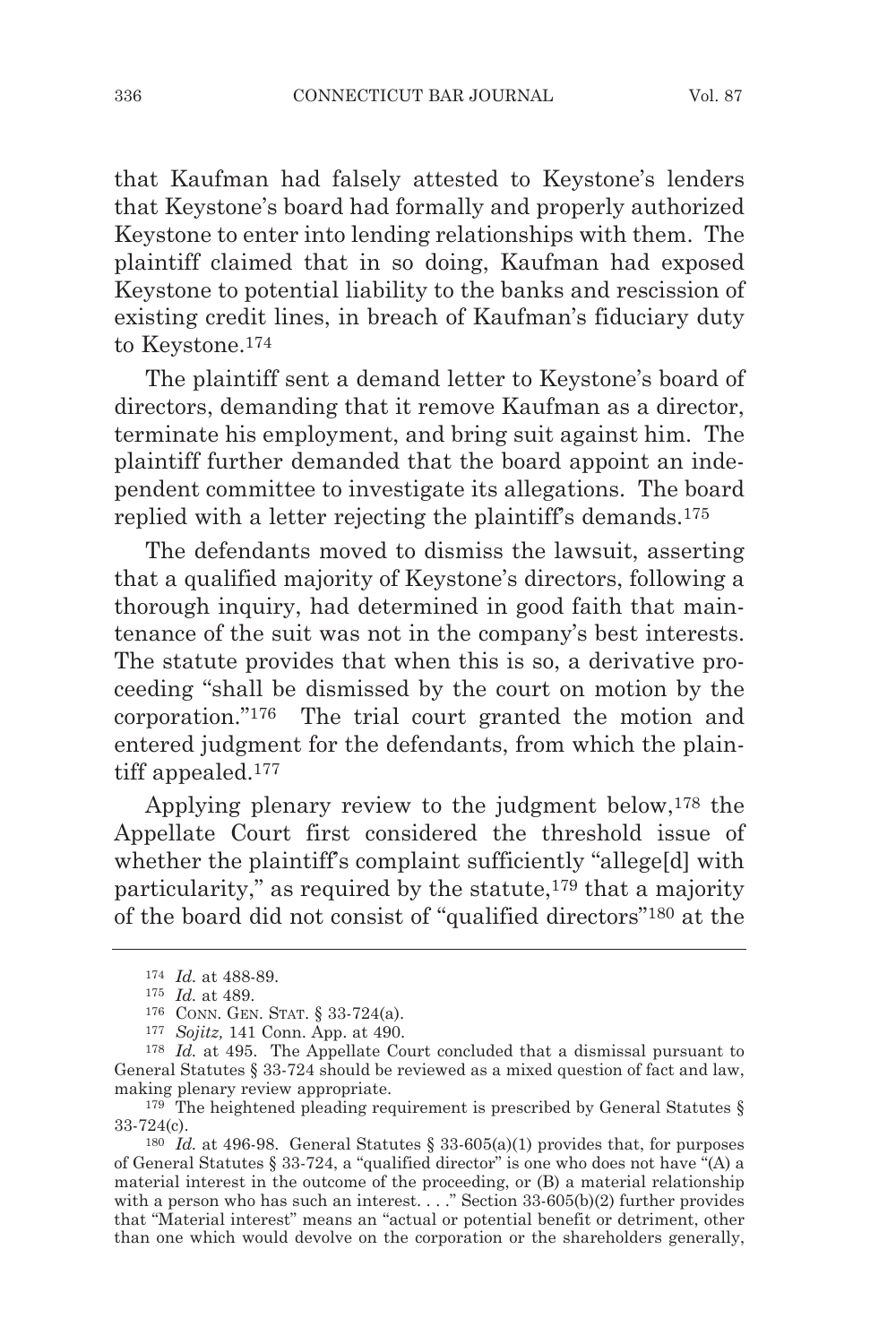that Kaufman had falsely attested to Keystone's lenders that Keystone's board had formally and properly authorized Keystone to enter into lending relationships with them. The plaintiff claimed that in so doing, Kaufman had exposed Keystone to potential liability to the banks and rescission of existing credit lines, in breach of Kaufman's fiduciary duty to Keystone.174

The plaintiff sent a demand letter to Keystone's board of directors, demanding that it remove Kaufman as a director, terminate his employment, and bring suit against him. The plaintiff further demanded that the board appoint an independent committee to investigate its allegations. The board replied with a letter rejecting the plaintiff's demands.175

The defendants moved to dismiss the lawsuit, asserting that a qualified majority of Keystone's directors, following a thorough inquiry, had determined in good faith that maintenance of the suit was not in the company's best interests. The statute provides that when this is so, a derivative proceeding "shall be dismissed by the court on motion by the corporation."176 The trial court granted the motion and entered judgment for the defendants, from which the plaintiff appealed.177

Applying plenary review to the judgment below,178 the Appellate Court first considered the threshold issue of whether the plaintiff's complaint sufficiently "allege[d] with particularity," as required by the statute,179 that a majority of the board did not consist of "qualified directors"180 at the

<sup>174</sup> *Id.* at 488-89.

<sup>175</sup> *Id.* at 489.

<sup>176</sup> CONN. GEN. STAT. § 33-724(a).

<sup>177</sup> *Sojitz,* 141 Conn. App. at 490.

<sup>178</sup> *Id.* at 495. The Appellate Court concluded that a dismissal pursuant to General Statutes § 33-724 should be reviewed as a mixed question of fact and law, making plenary review appropriate.<br><sup>179</sup> The heightened pleading requirement is prescribed by General Statutes §

<sup>33-724(</sup>c).

<sup>&</sup>lt;sup>180</sup> *Id.* at 496-98. General Statutes  $\frac{33.605(a)}{1}$  provides that, for purposes of General Statutes § 33-724, a "qualified director" is one who does not have "(A) a material interest in the outcome of the proceeding, or (B) a material relationship with a person who has such an interest. . . ." Section 33-605(b)(2) further provides that "Material interest" means an "actual or potential benefit or detriment, other than one which would devolve on the corporation or the shareholders generally,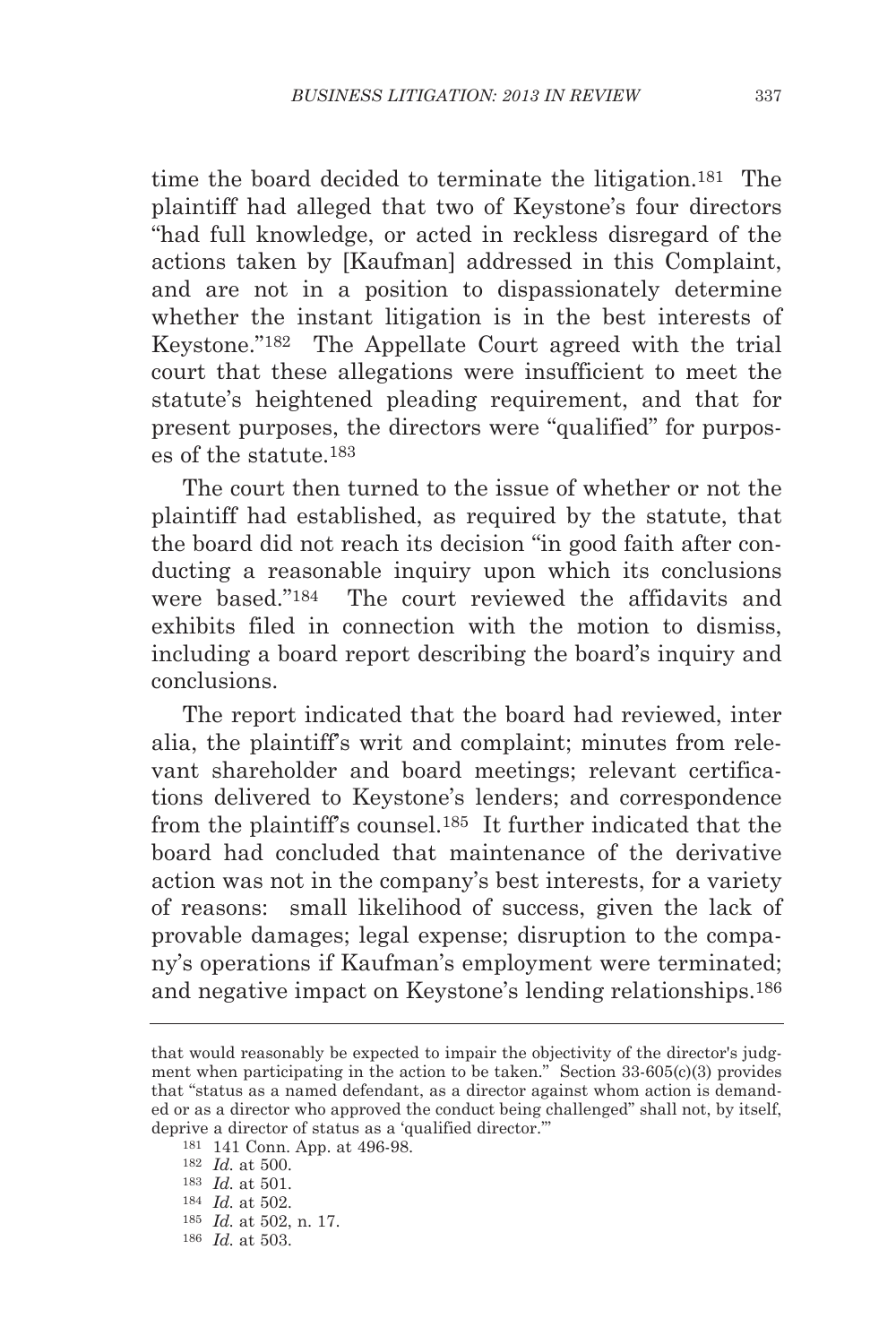time the board decided to terminate the litigation.181 The plaintiff had alleged that two of Keystone's four directors "had full knowledge, or acted in reckless disregard of the actions taken by [Kaufman] addressed in this Complaint, and are not in a position to dispassionately determine whether the instant litigation is in the best interests of Keystone."182 The Appellate Court agreed with the trial court that these allegations were insufficient to meet the statute's heightened pleading requirement, and that for present purposes, the directors were "qualified" for purposes of the statute.183

The court then turned to the issue of whether or not the plaintiff had established, as required by the statute, that the board did not reach its decision "in good faith after conducting a reasonable inquiry upon which its conclusions were based."184 The court reviewed the affidavits and exhibits filed in connection with the motion to dismiss, including a board report describing the board's inquiry and conclusions.

The report indicated that the board had reviewed, inter alia, the plaintiff's writ and complaint; minutes from relevant shareholder and board meetings; relevant certifications delivered to Keystone's lenders; and correspondence from the plaintiff's counsel.185 It further indicated that the board had concluded that maintenance of the derivative action was not in the company's best interests, for a variety of reasons: small likelihood of success, given the lack of provable damages; legal expense; disruption to the company's operations if Kaufman's employment were terminated; and negative impact on Keystone's lending relationships.186

that would reasonably be expected to impair the objectivity of the director's judgment when participating in the action to be taken." Section  $33-605(c)(3)$  provides that "status as a named defendant, as a director against whom action is demanded or as a director who approved the conduct being challenged" shall not, by itself, deprive a director of status as a 'qualified director."

<sup>181</sup> 141 Conn. App. at 496-98.

<sup>182</sup> *Id.* at 500.

<sup>183</sup> *Id.* at 501.

<sup>184</sup> *Id.* at 502.

<sup>185</sup> *Id.* at 502, n. 17.

<sup>186</sup> *Id.* at 503.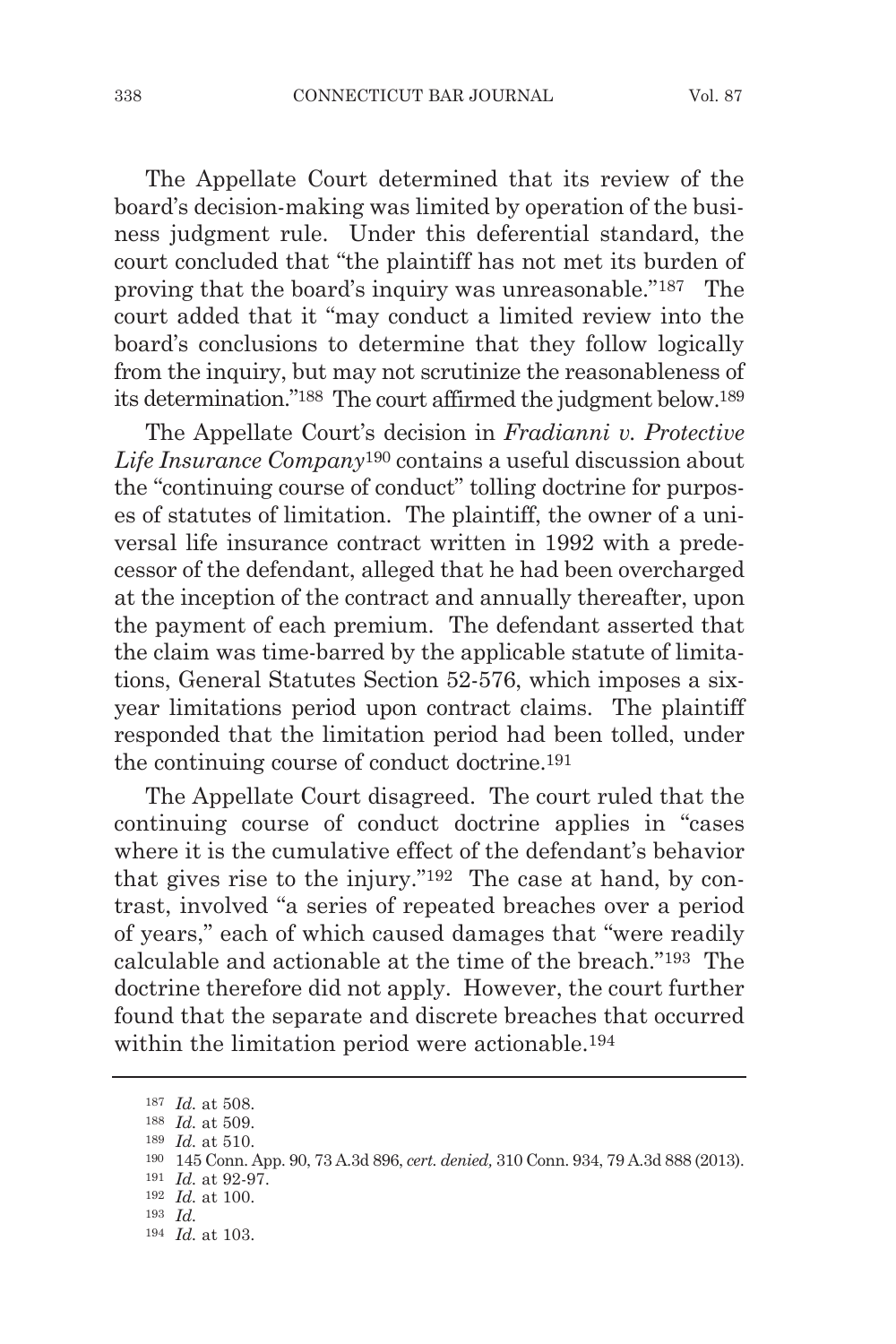The Appellate Court determined that its review of the board's decision-making was limited by operation of the business judgment rule. Under this deferential standard, the court concluded that "the plaintiff has not met its burden of proving that the board's inquiry was unreasonable."187 The court added that it "may conduct a limited review into the board's conclusions to determine that they follow logically from the inquiry, but may not scrutinize the reasonableness of its determination."188 The court affirmed the judgment below.189

The Appellate Court's decision in *Fradianni v. Protective Life Insurance Company*<sup>190</sup> contains a useful discussion about the "continuing course of conduct" tolling doctrine for purposes of statutes of limitation. The plaintiff, the owner of a universal life insurance contract written in 1992 with a predecessor of the defendant, alleged that he had been overcharged at the inception of the contract and annually thereafter, upon the payment of each premium. The defendant asserted that the claim was time-barred by the applicable statute of limitations, General Statutes Section 52-576, which imposes a sixyear limitations period upon contract claims. The plaintiff responded that the limitation period had been tolled, under the continuing course of conduct doctrine.191

The Appellate Court disagreed. The court ruled that the continuing course of conduct doctrine applies in "cases where it is the cumulative effect of the defendant's behavior that gives rise to the injury."192 The case at hand, by contrast, involved "a series of repeated breaches over a period of years," each of which caused damages that "were readily calculable and actionable at the time of the breach."193 The doctrine therefore did not apply. However, the court further found that the separate and discrete breaches that occurred within the limitation period were actionable.194

 $^{187}$   $\, Id.$  at 508.  $^{188}$   $\, Id.$  at 509.

 $^{189}$   $\, Id.$  at 510.

<sup>190</sup> 145 Conn. App. 90, 73 A.3d 896, *cert. denied,* 310 Conn. 934, 79 A.3d 888 (2013).

<sup>191</sup> *Id.* at 92-97.

<sup>192</sup> *Id.* at 100.

<sup>193</sup> *Id.*

<sup>194</sup> *Id.* at 103.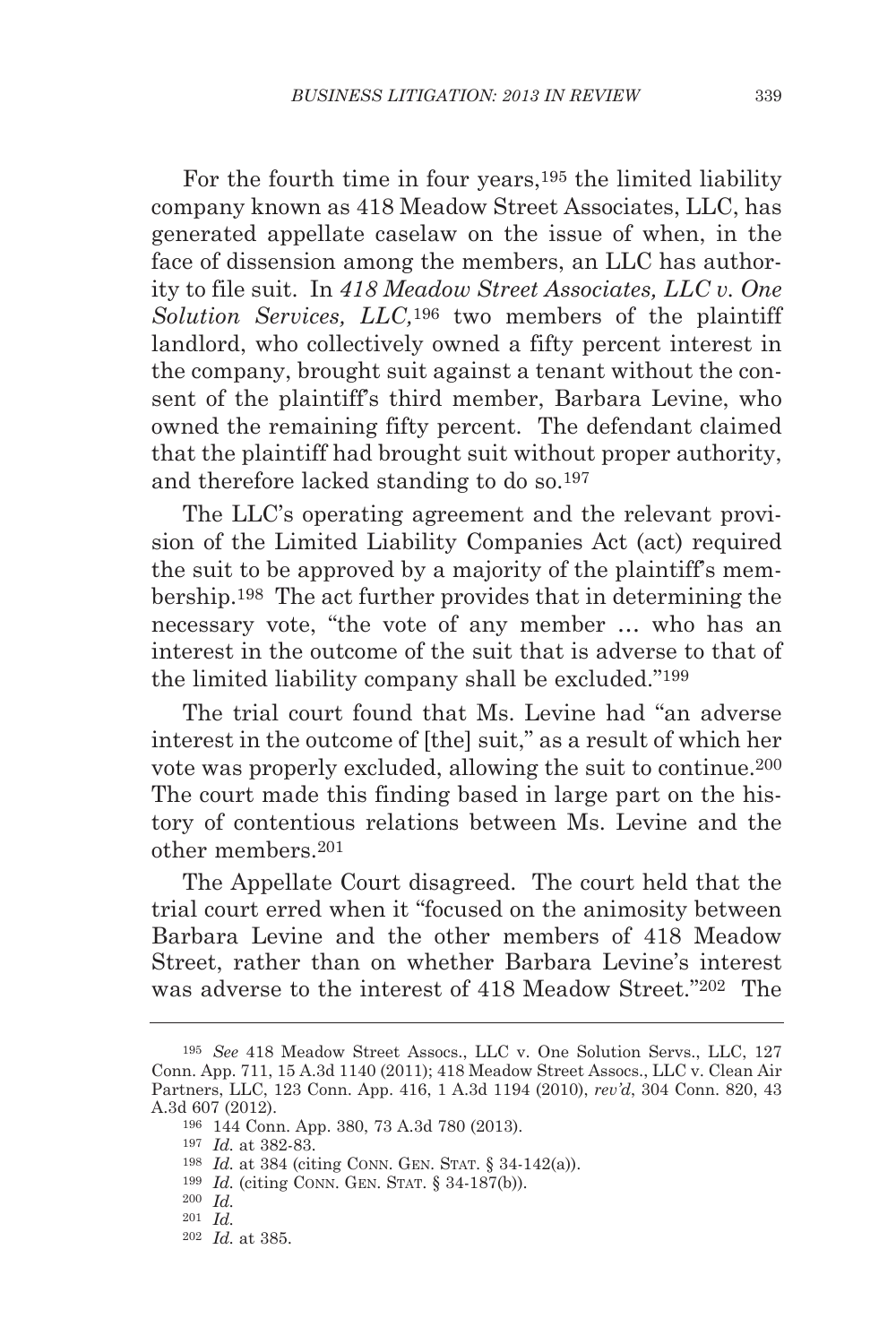For the fourth time in four years,195 the limited liability company known as 418 Meadow Street Associates, LLC, has generated appellate caselaw on the issue of when, in the face of dissension among the members, an LLC has authority to file suit. In *418 Meadow Street Associates, LLC v. One Solution Services, LLC,*<sup>196</sup> two members of the plaintiff landlord, who collectively owned a fifty percent interest in the company, brought suit against a tenant without the consent of the plaintiff's third member, Barbara Levine, who owned the remaining fifty percent. The defendant claimed that the plaintiff had brought suit without proper authority, and therefore lacked standing to do so.197

The LLC's operating agreement and the relevant provision of the Limited Liability Companies Act (act) required the suit to be approved by a majority of the plaintiff's membership.198 The act further provides that in determining the necessary vote, "the vote of any member … who has an interest in the outcome of the suit that is adverse to that of the limited liability company shall be excluded."199

The trial court found that Ms. Levine had "an adverse interest in the outcome of [the] suit," as a result of which her vote was properly excluded, allowing the suit to continue.200 The court made this finding based in large part on the history of contentious relations between Ms. Levine and the other members.201

The Appellate Court disagreed. The court held that the trial court erred when it "focused on the animosity between Barbara Levine and the other members of 418 Meadow Street, rather than on whether Barbara Levine's interest was adverse to the interest of 418 Meadow Street."202 The

<sup>195</sup> *See* 418 Meadow Street Assocs., LLC v. One Solution Servs., LLC, 127 Conn. App. 711, 15 A.3d 1140 (2011); 418 Meadow Street Assocs., LLC v. Clean Air Partners, LLC, 123 Conn. App. 416, 1 A.3d 1194 (2010), *rev'd*, 304 Conn. 820, 43 A.3d 607 (2012).

<sup>196</sup> 144 Conn. App. 380, 73 A.3d 780 (2013).

<sup>197</sup> *Id.* at 382-83.

<sup>198</sup> *Id.* at 384 (citing CONN. GEN. STAT. § 34-142(a)).

<sup>199</sup> *Id.* (citing CONN. GEN. STAT. § 34-187(b)).

<sup>200</sup> *Id.*

<sup>201</sup> *Id.*

<sup>202</sup> *Id.* at 385.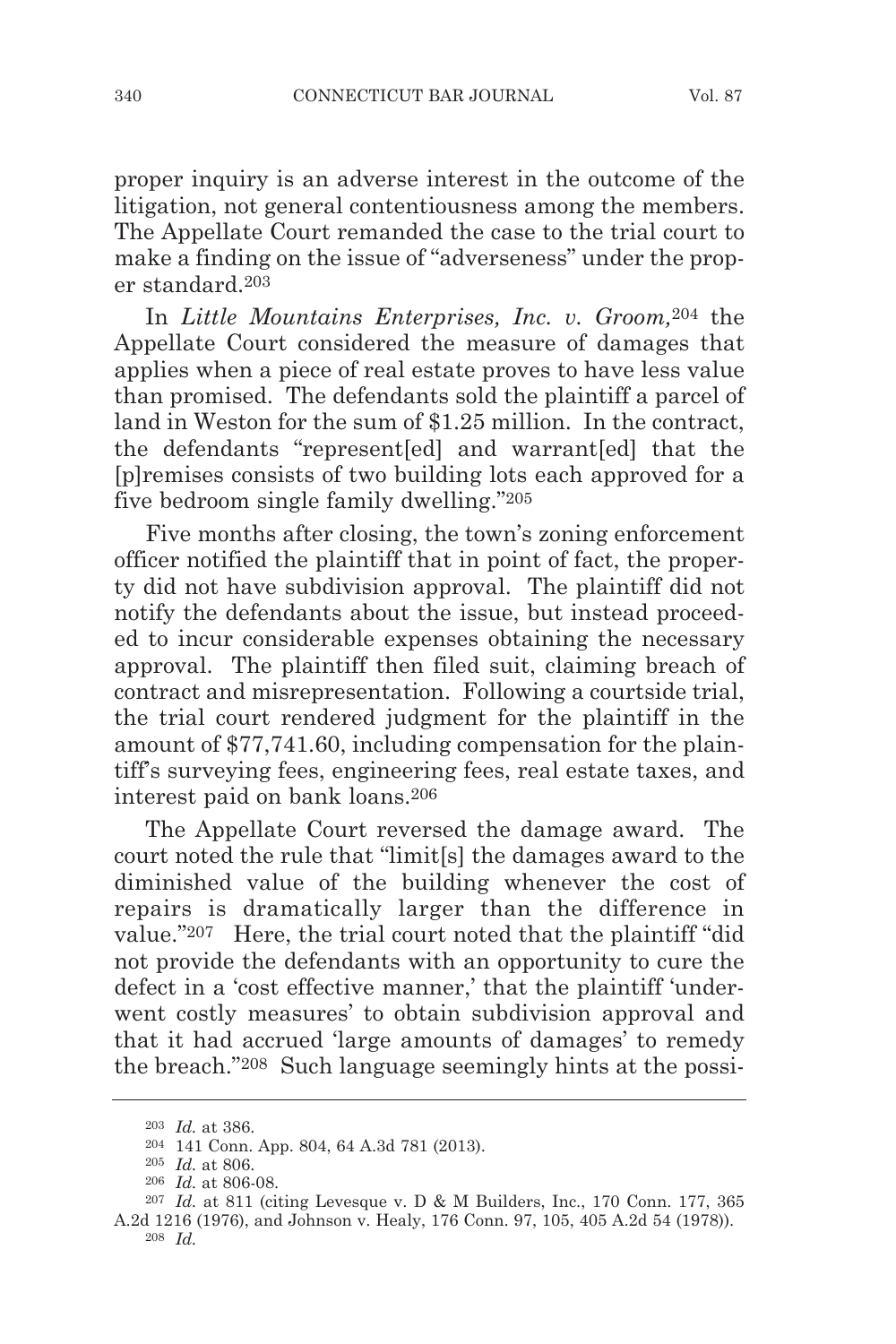proper inquiry is an adverse interest in the outcome of the litigation, not general contentiousness among the members. The Appellate Court remanded the case to the trial court to make a finding on the issue of "adverseness" under the proper standard.203

In *Little Mountains Enterprises, Inc. v. Groom,*<sup>204</sup> the Appellate Court considered the measure of damages that applies when a piece of real estate proves to have less value than promised. The defendants sold the plaintiff a parcel of land in Weston for the sum of \$1.25 million. In the contract, the defendants "represent[ed] and warrant[ed] that the [p]remises consists of two building lots each approved for a five bedroom single family dwelling."205

Five months after closing, the town's zoning enforcement officer notified the plaintiff that in point of fact, the property did not have subdivision approval. The plaintiff did not notify the defendants about the issue, but instead proceeded to incur considerable expenses obtaining the necessary approval. The plaintiff then filed suit, claiming breach of contract and misrepresentation. Following a courtside trial, the trial court rendered judgment for the plaintiff in the amount of \$77,741.60, including compensation for the plaintiff's surveying fees, engineering fees, real estate taxes, and interest paid on bank loans.206

The Appellate Court reversed the damage award. The court noted the rule that "limit[s] the damages award to the diminished value of the building whenever the cost of repairs is dramatically larger than the difference in value."207 Here, the trial court noted that the plaintiff "did not provide the defendants with an opportunity to cure the defect in a 'cost effective manner,' that the plaintiff 'underwent costly measures' to obtain subdivision approval and that it had accrued 'large amounts of damages' to remedy the breach."208 Such language seemingly hints at the possi-

<sup>203</sup> *Id.* at 386.

<sup>204</sup> 141 Conn. App. 804, 64 A.3d 781 (2013).

<sup>205</sup> *Id.* at 806.

<sup>206</sup> *Id.* at 806-08.

<sup>207</sup> *Id.* at 811 (citing Levesque v. D & M Builders, Inc., 170 Conn. 177, 365 A.2d 1216 (1976), and Johnson v. Healy, 176 Conn. 97, 105, 405 A.2d 54 (1978)).

<sup>208</sup> *Id.*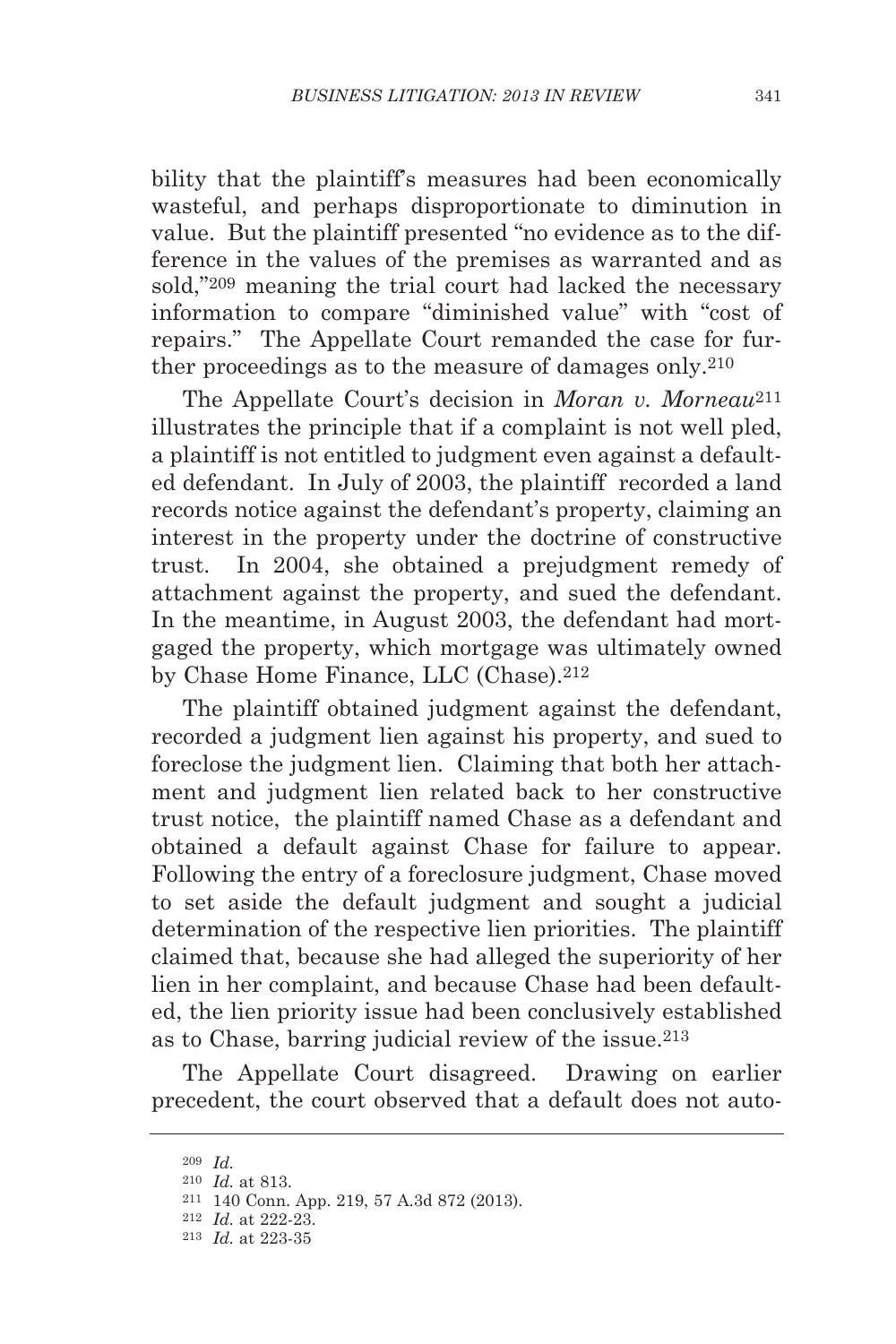bility that the plaintiff's measures had been economically wasteful, and perhaps disproportionate to diminution in value. But the plaintiff presented "no evidence as to the difference in the values of the premises as warranted and as sold,"209 meaning the trial court had lacked the necessary information to compare "diminished value" with "cost of repairs." The Appellate Court remanded the case for further proceedings as to the measure of damages only.210

The Appellate Court's decision in *Moran v. Morneau*211 illustrates the principle that if a complaint is not well pled, a plaintiff is not entitled to judgment even against a defaulted defendant. In July of 2003, the plaintiff recorded a land records notice against the defendant's property, claiming an interest in the property under the doctrine of constructive trust. In 2004, she obtained a prejudgment remedy of attachment against the property, and sued the defendant. In the meantime, in August 2003, the defendant had mortgaged the property, which mortgage was ultimately owned by Chase Home Finance, LLC (Chase).212

The plaintiff obtained judgment against the defendant, recorded a judgment lien against his property, and sued to foreclose the judgment lien. Claiming that both her attachment and judgment lien related back to her constructive trust notice, the plaintiff named Chase as a defendant and obtained a default against Chase for failure to appear. Following the entry of a foreclosure judgment, Chase moved to set aside the default judgment and sought a judicial determination of the respective lien priorities. The plaintiff claimed that, because she had alleged the superiority of her lien in her complaint, and because Chase had been defaulted, the lien priority issue had been conclusively established as to Chase, barring judicial review of the issue.213

The Appellate Court disagreed. Drawing on earlier precedent, the court observed that a default does not auto-

<sup>209</sup> *Id.*

<sup>210</sup> *Id.* at 813.

<sup>211</sup> 140 Conn. App. 219, 57 A.3d 872 (2013).

<sup>212</sup> *Id.* at 222-23.

<sup>213</sup> *Id.* at 223-35